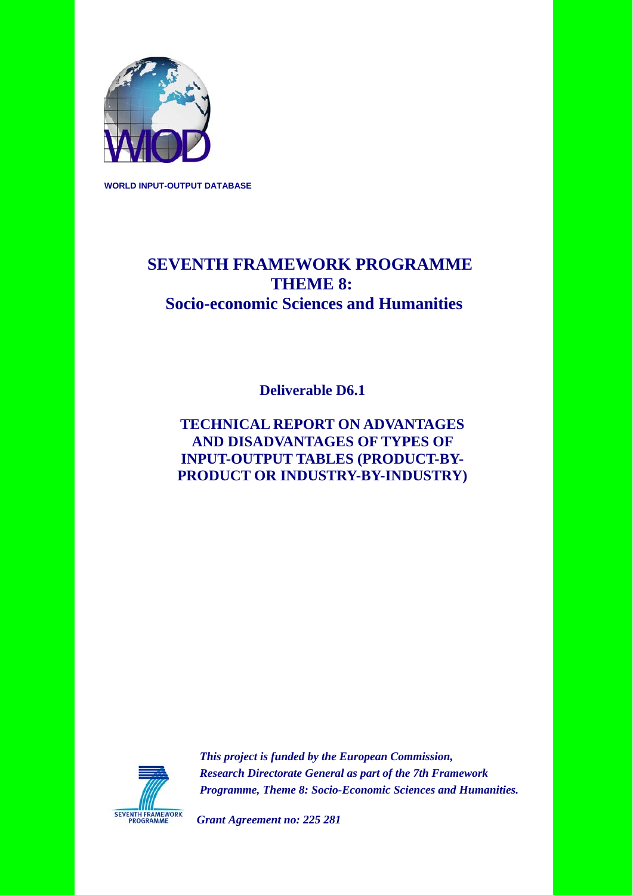

**WORLD INPUT-OUTPUT DATABASE** 

# **SEVENTH FRAMEWORK PROGRAMME THEME 8: Socio-economic Sciences and Humanities**

 **Deliverable D6.1** 

### **TECHNICAL REPORT ON ADVANTAGES AND DISADVANTAGES OF TYPES OF INPUT-OUTPUT TABLES (PRODUCT-BY-PRODUCT OR INDUSTRY-BY-INDUSTRY)**



 *This project is funded by the European Commission, Research Directorate General as part of the 7th Framework Programme, Theme 8: Socio-Economic Sciences and Humanities.* 

*Grant Agreement no: 225 281*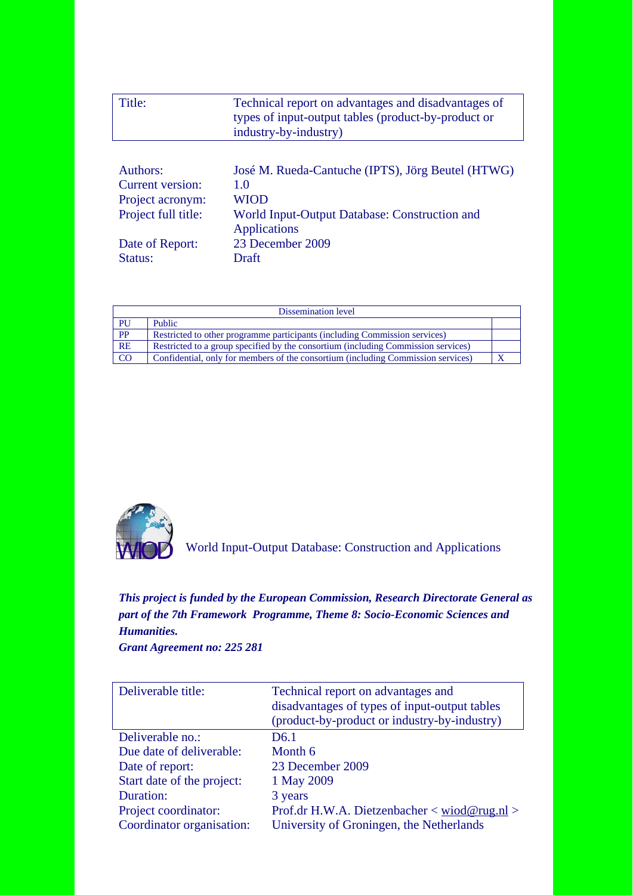| Title:              | Technical report on advantages and disadvantages of<br>types of input-output tables (product-by-product or<br>industry-by-industry) |
|---------------------|-------------------------------------------------------------------------------------------------------------------------------------|
|                     |                                                                                                                                     |
| Authors:            | José M. Rueda-Cantuche (IPTS), Jörg Beutel (HTWG)                                                                                   |
| Current version:    | 1.0                                                                                                                                 |
| Project acronym:    | WIOD                                                                                                                                |
| Project full title: | World Input-Output Database: Construction and<br><b>Applications</b>                                                                |
| Date of Report:     | 23 December 2009                                                                                                                    |
| Status:             | Draft                                                                                                                               |

|                 | Dissemination level                                                               |  |  |  |  |  |  |
|-----------------|-----------------------------------------------------------------------------------|--|--|--|--|--|--|
| PU              | Public                                                                            |  |  |  |  |  |  |
| $\overline{PP}$ | Restricted to other programme participants (including Commission services)        |  |  |  |  |  |  |
| RE              | Restricted to a group specified by the consortium (including Commission services) |  |  |  |  |  |  |
| $\overline{CO}$ | Confidential, only for members of the consortium (including Commission services)  |  |  |  |  |  |  |



World Input-Output Database: Construction and Applications

### *This project is funded by the European Commission, Research Directorate General as part of the 7th Framework Programme, Theme 8: Socio-Economic Sciences and Humanities.*

*Grant Agreement no: 225 281* 

| Deliverable title:         | Technical report on advantages and<br>disadvantages of types of input-output tables<br>(product-by-product or industry-by-industry) |
|----------------------------|-------------------------------------------------------------------------------------------------------------------------------------|
| Deliverable no.:           | D <sub>6.1</sub>                                                                                                                    |
| Due date of deliverable:   | Month 6                                                                                                                             |
| Date of report:            | 23 December 2009                                                                                                                    |
| Start date of the project: | 1 May 2009                                                                                                                          |
| Duration:                  | 3 years                                                                                                                             |
| Project coordinator:       | Prof.dr H.W.A. Dietzenbacher < wiod@rug.nl >                                                                                        |
| Coordinator organisation:  | University of Groningen, the Netherlands                                                                                            |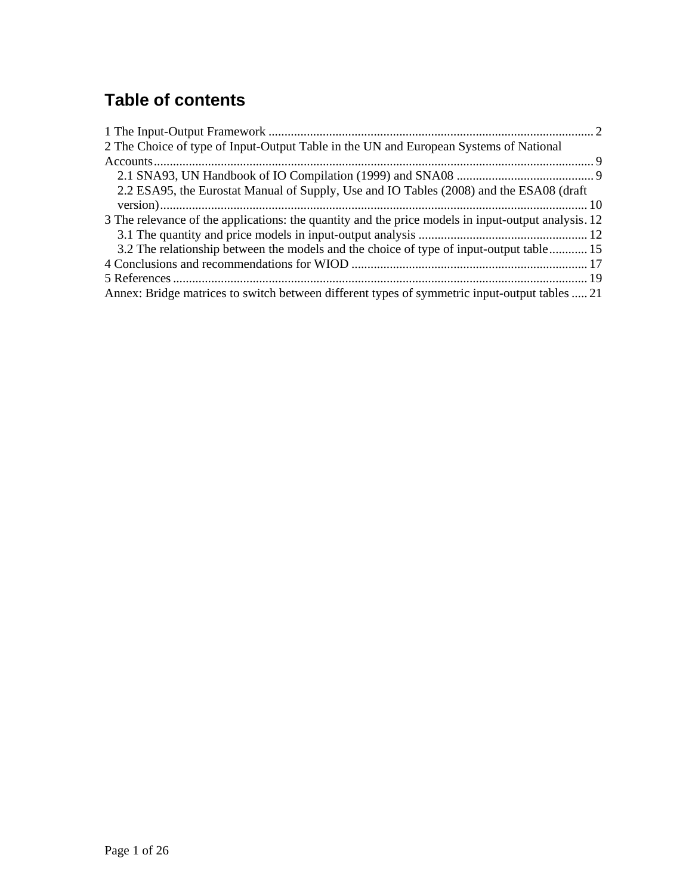# **Table of contents**

| 2 The Choice of type of Input-Output Table in the UN and European Systems of National               |
|-----------------------------------------------------------------------------------------------------|
|                                                                                                     |
|                                                                                                     |
| 2.2 ESA95, the Eurostat Manual of Supply, Use and IO Tables (2008) and the ESA08 (draft             |
|                                                                                                     |
| 3 The relevance of the applications: the quantity and the price models in input-output analysis. 12 |
|                                                                                                     |
| 3.2 The relationship between the models and the choice of type of input-output table 15             |
|                                                                                                     |
|                                                                                                     |
| Annex: Bridge matrices to switch between different types of symmetric input-output tables  21       |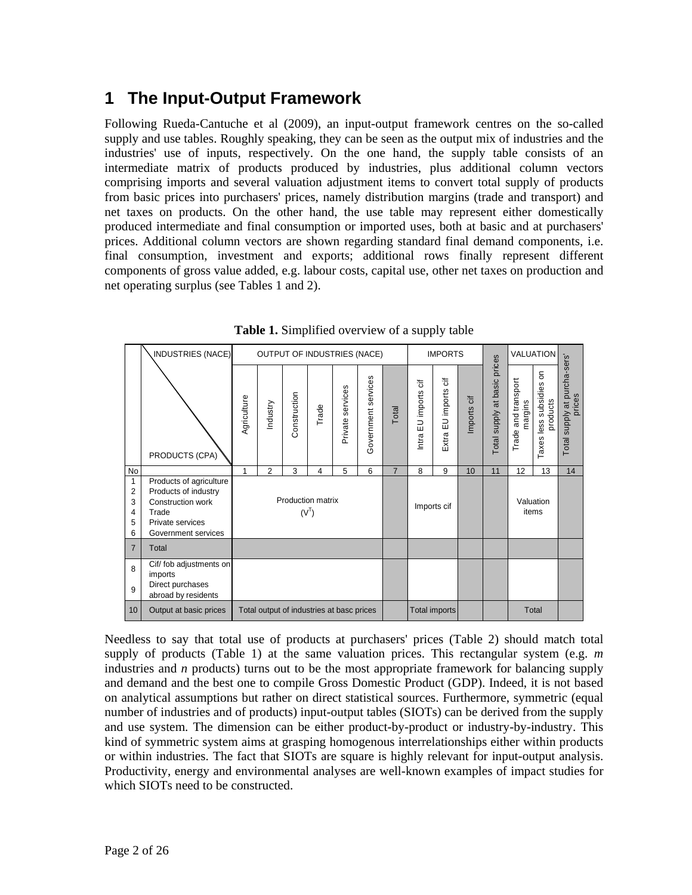# **1 The Input-Output Framework**

Following Rueda-Cantuche et al (2009), an input-output framework centres on the so-called supply and use tables. Roughly speaking, they can be seen as the output mix of industries and the industries' use of inputs, respectively. On the one hand, the supply table consists of an intermediate matrix of products produced by industries, plus additional column vectors comprising imports and several valuation adjustment items to convert total supply of products from basic prices into purchasers' prices, namely distribution margins (trade and transport) and net taxes on products. On the other hand, the use table may represent either domestically produced intermediate and final consumption or imported uses, both at basic and at purchasers' prices. Additional column vectors are shown regarding standard final demand components, i.e. final consumption, investment and exports; additional rows finally represent different components of gross value added, e.g. labour costs, capital use, other net taxes on production and net operating surplus (see Tables 1 and 2).

|                                         | INDUSTRIES (NACE)                                                                                                        |                              | OUTPUT OF INDUSTRIES (NACE)               |              |       |                  |                     |                |                         | <b>IMPORTS</b>                                 |             |                                 |                                | VALUATION                           |                                        |
|-----------------------------------------|--------------------------------------------------------------------------------------------------------------------------|------------------------------|-------------------------------------------|--------------|-------|------------------|---------------------|----------------|-------------------------|------------------------------------------------|-------------|---------------------------------|--------------------------------|-------------------------------------|----------------------------------------|
|                                         | PRODUCTS (CPA)                                                                                                           | Agriculture                  | Industry                                  | Construction | Trade | Private services | Government services | Total          | EU imports cif<br>Intra | $\overline{\mathrm{d}}$<br>EU imports<br>Extra | Imports cif | prices<br>Total supply at basic | Trade and transport<br>margins | Taxes less subsidies on<br>products | Total supply at purcha-sers'<br>prices |
| No                                      |                                                                                                                          | 1                            | $\overline{2}$                            | 3            | 4     | 5                | 6                   | $\overline{7}$ | 8                       | 9                                              | 10          | 11                              | 12                             | 13                                  | 14                                     |
| 1<br>$\overline{2}$<br>3<br>4<br>5<br>6 | Products of agriculture<br>Products of industry<br>Construction work<br>Trade<br>Private services<br>Government services | Production matrix<br>$(V^T)$ |                                           |              |       |                  |                     |                |                         | Imports cif                                    |             |                                 | items                          | Valuation                           |                                        |
| $\overline{7}$                          | Total                                                                                                                    |                              |                                           |              |       |                  |                     |                |                         |                                                |             |                                 |                                |                                     |                                        |
| 8<br>9                                  | Cif/ fob adjustments on<br>imports<br>Direct purchases<br>abroad by residents                                            |                              |                                           |              |       |                  |                     |                |                         |                                                |             |                                 |                                |                                     |                                        |
| 10                                      | Output at basic prices                                                                                                   |                              | Total output of industries at basc prices |              |       |                  |                     |                |                         | Total imports                                  |             |                                 |                                | Total                               |                                        |

**Table 1.** Simplified overview of a supply table

Needless to say that total use of products at purchasers' prices (Table 2) should match total supply of products (Table 1) at the same valuation prices. This rectangular system (e.g. *m* industries and *n* products) turns out to be the most appropriate framework for balancing supply and demand and the best one to compile Gross Domestic Product (GDP). Indeed, it is not based on analytical assumptions but rather on direct statistical sources. Furthermore, symmetric (equal number of industries and of products) input-output tables (SIOTs) can be derived from the supply and use system. The dimension can be either product-by-product or industry-by-industry. This kind of symmetric system aims at grasping homogenous interrelationships either within products or within industries. The fact that SIOTs are square is highly relevant for input-output analysis. Productivity, energy and environmental analyses are well-known examples of impact studies for which SIOTs need to be constructed.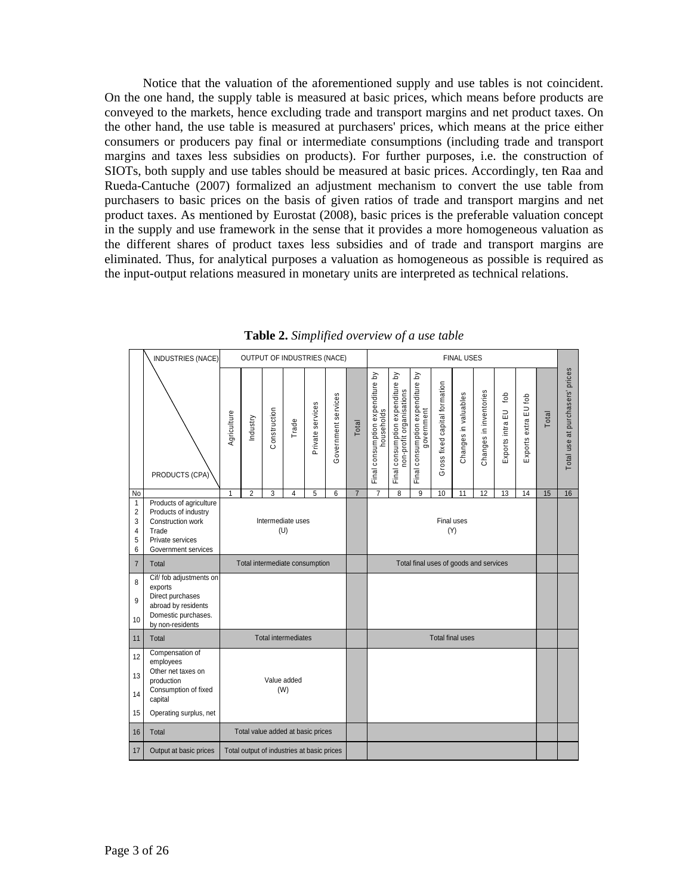Notice that the valuation of the aforementioned supply and use tables is not coincident. On the one hand, the supply table is measured at basic prices, which means before products are conveyed to the markets, hence excluding trade and transport margins and net product taxes. On the other hand, the use table is measured at purchasers' prices, which means at the price either consumers or producers pay final or intermediate consumptions (including trade and transport margins and taxes less subsidies on products). For further purposes, i.e. the construction of SIOTs, both supply and use tables should be measured at basic prices. Accordingly, ten Raa and Rueda-Cantuche (2007) formalized an adjustment mechanism to convert the use table from purchasers to basic prices on the basis of given ratios of trade and transport margins and net product taxes. As mentioned by Eurostat (2008), basic prices is the preferable valuation concept in the supply and use framework in the sense that it provides a more homogeneous valuation as the different shares of product taxes less subsidies and of trade and transport margins are eliminated. Thus, for analytical purposes a valuation as homogeneous as possible is required as the input-output relations measured in monetary units are interpreted as technical relations.

|                                    | INDUSTRIES (NACE)                                                                                                             | OUTPUT OF INDUSTRIES (NACE)                |                                   |              |                            |                  |                     |                | <b>FINAL USES</b>                              |                                                              |                                                |                               |                         |                        |                               |                      |       |                                 |
|------------------------------------|-------------------------------------------------------------------------------------------------------------------------------|--------------------------------------------|-----------------------------------|--------------|----------------------------|------------------|---------------------|----------------|------------------------------------------------|--------------------------------------------------------------|------------------------------------------------|-------------------------------|-------------------------|------------------------|-------------------------------|----------------------|-------|---------------------------------|
|                                    | PRODUCTS (CPA)                                                                                                                | Agriculture                                | Industry                          | Construction | Trade                      | Private services | Government services | Total          | Final consumption expenditure by<br>households | Final consumption expenditure by<br>non-profit organisations | Final consumption expenditure by<br>government | Gross fixed capital formation | Changes in valuables    | Changes in inventories | tob<br>$\Xi$<br>Exports intra | Exports extra EU fob | Total | Total use at purchasers' prices |
| No<br>$\mathbf{1}$                 | Products of agriculture                                                                                                       | 1                                          | $\overline{2}$                    | 3            | 4                          | 5                | 6                   | $\overline{7}$ | $\overline{7}$                                 | 8                                                            | 9                                              | 10                            | 11                      | 12                     | 13                            | 14                   | 15    | 16                              |
| $\overline{2}$<br>3<br>4<br>5<br>6 | Products of industry<br>Construction work<br>Trade<br>Private services<br>Government services                                 | Intermediate uses<br>(U)                   |                                   |              |                            |                  |                     |                | Final uses<br>(Y)                              |                                                              |                                                |                               |                         |                        |                               |                      |       |                                 |
| $\overline{7}$                     | Total                                                                                                                         |                                            | Total intermediate consumption    |              |                            |                  |                     |                | Total final uses of goods and services         |                                                              |                                                |                               |                         |                        |                               |                      |       |                                 |
| 8<br>9<br>10                       | Cif/fob adjustments on<br>exports<br>Direct purchases<br>abroad by residents<br>Domestic purchases.<br>by non-residents       |                                            |                                   |              |                            |                  |                     |                |                                                |                                                              |                                                |                               |                         |                        |                               |                      |       |                                 |
| 11                                 | Total                                                                                                                         |                                            |                                   |              | <b>Total intermediates</b> |                  |                     |                |                                                |                                                              |                                                |                               | <b>Total final uses</b> |                        |                               |                      |       |                                 |
| 12<br>13<br>14<br>15               | Compensation of<br>employees<br>Other net taxes on<br>production<br>Consumption of fixed<br>capital<br>Operating surplus, net | Value added<br>(W)                         |                                   |              |                            |                  |                     |                |                                                |                                                              |                                                |                               |                         |                        |                               |                      |       |                                 |
| 16                                 | Total                                                                                                                         |                                            |                                   |              |                            |                  |                     |                |                                                |                                                              |                                                |                               |                         |                        |                               |                      |       |                                 |
|                                    |                                                                                                                               |                                            | Total value added at basic prices |              |                            |                  |                     |                |                                                |                                                              |                                                |                               |                         |                        |                               |                      |       |                                 |
| 17                                 | Output at basic prices                                                                                                        | Total output of industries at basic prices |                                   |              |                            |                  |                     |                |                                                |                                                              |                                                |                               |                         |                        |                               |                      |       |                                 |

**Table 2.** *Simplified overview of a use table*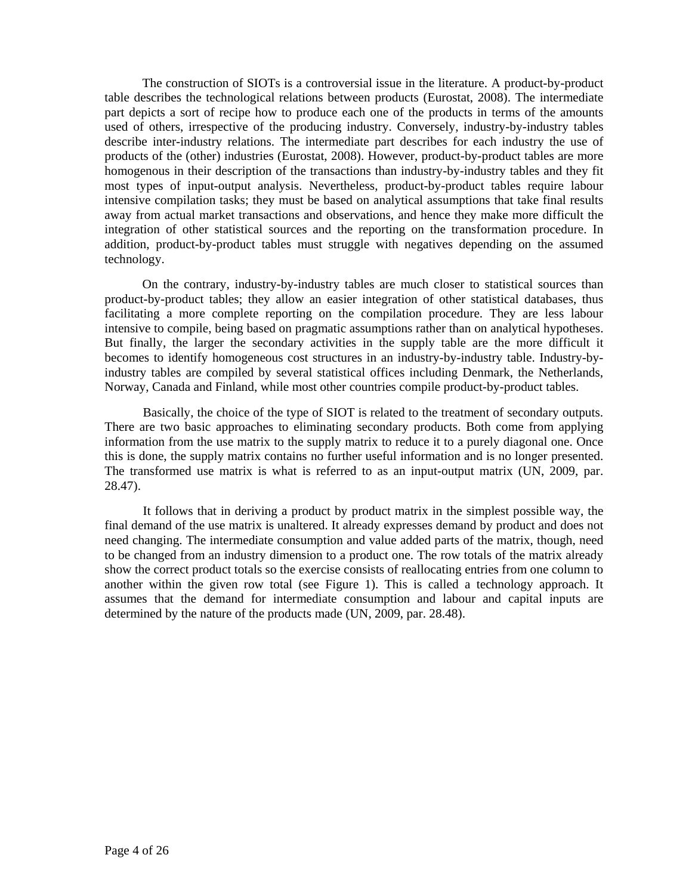The construction of SIOTs is a controversial issue in the literature. A product-by-product table describes the technological relations between products (Eurostat, 2008). The intermediate part depicts a sort of recipe how to produce each one of the products in terms of the amounts used of others, irrespective of the producing industry. Conversely, industry-by-industry tables describe inter-industry relations. The intermediate part describes for each industry the use of products of the (other) industries (Eurostat, 2008). However, product-by-product tables are more homogenous in their description of the transactions than industry-by-industry tables and they fit most types of input-output analysis. Nevertheless, product-by-product tables require labour intensive compilation tasks; they must be based on analytical assumptions that take final results away from actual market transactions and observations, and hence they make more difficult the integration of other statistical sources and the reporting on the transformation procedure. In addition, product-by-product tables must struggle with negatives depending on the assumed technology.

On the contrary, industry-by-industry tables are much closer to statistical sources than product-by-product tables; they allow an easier integration of other statistical databases, thus facilitating a more complete reporting on the compilation procedure. They are less labour intensive to compile, being based on pragmatic assumptions rather than on analytical hypotheses. But finally, the larger the secondary activities in the supply table are the more difficult it becomes to identify homogeneous cost structures in an industry-by-industry table. Industry-byindustry tables are compiled by several statistical offices including Denmark, the Netherlands, Norway, Canada and Finland, while most other countries compile product-by-product tables.

Basically, the choice of the type of SIOT is related to the treatment of secondary outputs. There are two basic approaches to eliminating secondary products. Both come from applying information from the use matrix to the supply matrix to reduce it to a purely diagonal one. Once this is done, the supply matrix contains no further useful information and is no longer presented. The transformed use matrix is what is referred to as an input-output matrix (UN, 2009, par. 28.47).

It follows that in deriving a product by product matrix in the simplest possible way, the final demand of the use matrix is unaltered. It already expresses demand by product and does not need changing. The intermediate consumption and value added parts of the matrix, though, need to be changed from an industry dimension to a product one. The row totals of the matrix already show the correct product totals so the exercise consists of reallocating entries from one column to another within the given row total (see Figure 1). This is called a technology approach. It assumes that the demand for intermediate consumption and labour and capital inputs are determined by the nature of the products made (UN, 2009, par. 28.48).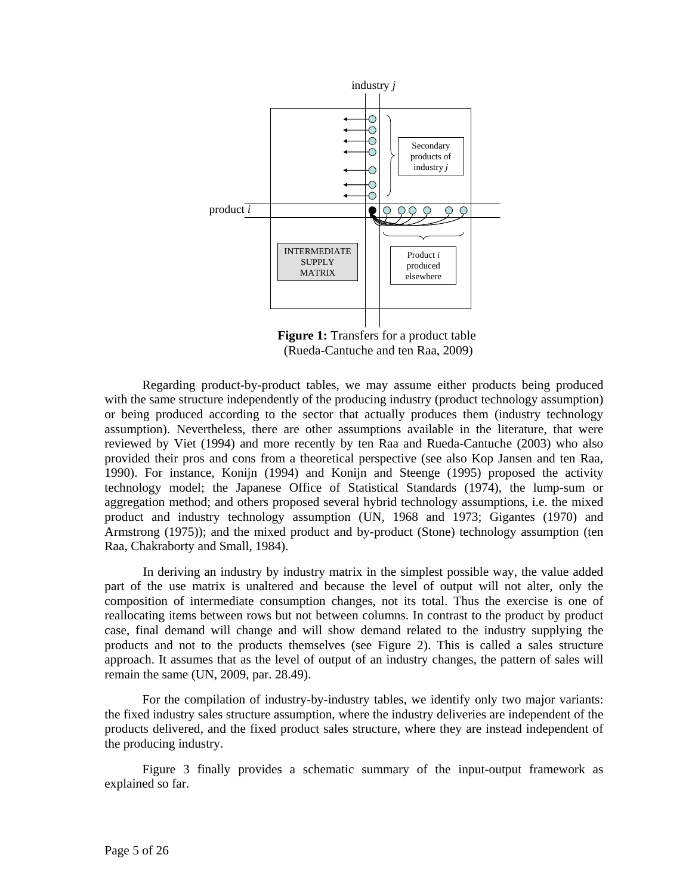

**Figure 1:** Transfers for a product table (Rueda-Cantuche and ten Raa, 2009)

Regarding product-by-product tables, we may assume either products being produced with the same structure independently of the producing industry (product technology assumption) or being produced according to the sector that actually produces them (industry technology assumption). Nevertheless, there are other assumptions available in the literature, that were reviewed by Viet (1994) and more recently by ten Raa and Rueda-Cantuche (2003) who also provided their pros and cons from a theoretical perspective (see also Kop Jansen and ten Raa, 1990). For instance, Konijn (1994) and Konijn and Steenge (1995) proposed the activity technology model; the Japanese Office of Statistical Standards (1974), the lump-sum or aggregation method; and others proposed several hybrid technology assumptions, i.e. the mixed product and industry technology assumption (UN, 1968 and 1973; Gigantes (1970) and Armstrong (1975)); and the mixed product and by-product (Stone) technology assumption (ten Raa, Chakraborty and Small, 1984).

 In deriving an industry by industry matrix in the simplest possible way, the value added part of the use matrix is unaltered and because the level of output will not alter, only the composition of intermediate consumption changes, not its total. Thus the exercise is one of reallocating items between rows but not between columns. In contrast to the product by product case, final demand will change and will show demand related to the industry supplying the products and not to the products themselves (see Figure 2). This is called a sales structure approach. It assumes that as the level of output of an industry changes, the pattern of sales will remain the same (UN, 2009, par. 28.49).

For the compilation of industry-by-industry tables, we identify only two major variants: the fixed industry sales structure assumption, where the industry deliveries are independent of the products delivered, and the fixed product sales structure, where they are instead independent of the producing industry.

Figure 3 finally provides a schematic summary of the input-output framework as explained so far.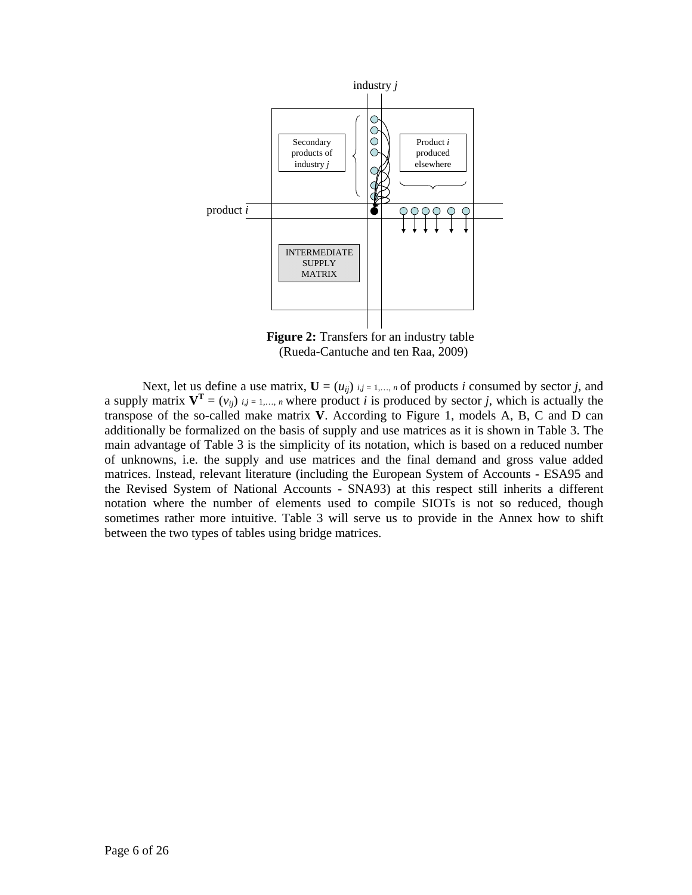

**Figure 2:** Transfers for an industry table (Rueda-Cantuche and ten Raa, 2009)

Next, let us define a use matrix,  $\mathbf{U} = (u_{ij})_{i,j=1,\dots,n}$  of products *i* consumed by sector *j*, and a supply matrix  $V^T = (v_{ij})_{i,j = 1,...,n}$  where product *i* is produced by sector *j*, which is actually the transpose of the so-called make matrix **V**. According to Figure 1, models A, B, C and D can additionally be formalized on the basis of supply and use matrices as it is shown in Table 3. The main advantage of Table 3 is the simplicity of its notation, which is based on a reduced number of unknowns, i.e. the supply and use matrices and the final demand and gross value added matrices. Instead, relevant literature (including the European System of Accounts - ESA95 and the Revised System of National Accounts - SNA93) at this respect still inherits a different notation where the number of elements used to compile SIOTs is not so reduced, though sometimes rather more intuitive. Table 3 will serve us to provide in the Annex how to shift between the two types of tables using bridge matrices.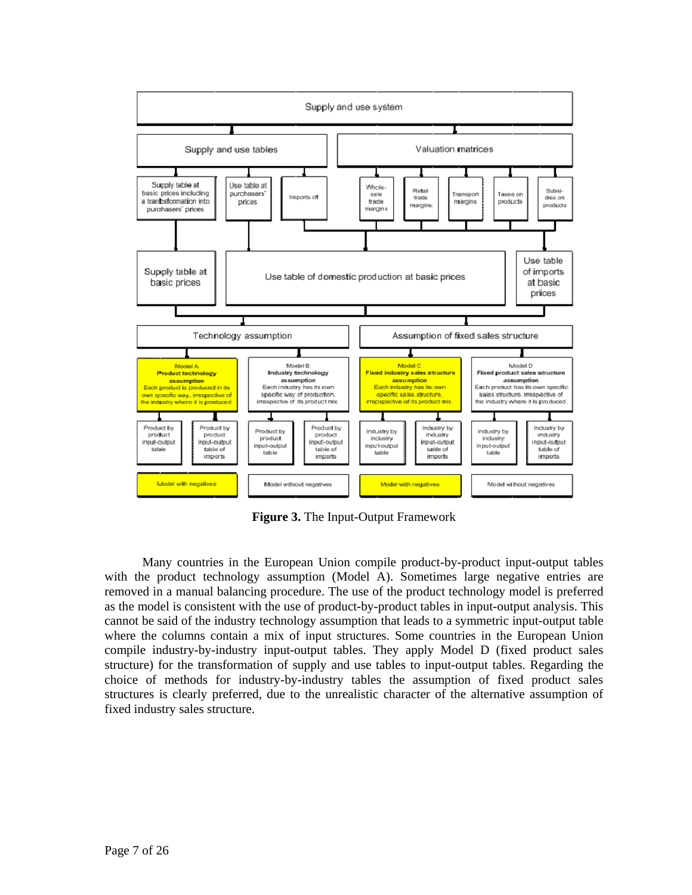

**Figure 3.** The Input-Output Framework

Many countries in the European Union compile product-by-product input-output tables with the product technology assumption (Model A). Sometimes large negative entries are removed in a manual balancing procedure. The use of the product technology model is preferred as the model is consistent with the use of product-by-product tables in input-output analysis. This cannot be said of the industry technology assumption that leads to a symmetric input-output table where the columns contain a mix of input structures. Some countries in the European Union compile industry-by-industry input-output tables. They apply Model D (fixed product sales structure) for the transformation of supply and use tables to input-output tables. Regarding the choice of methods for industry-by-industry tables the assumption of fixed product sales structures is clearly preferred, due to the unrealistic character of the alternative assumption of fixed industry sales structure.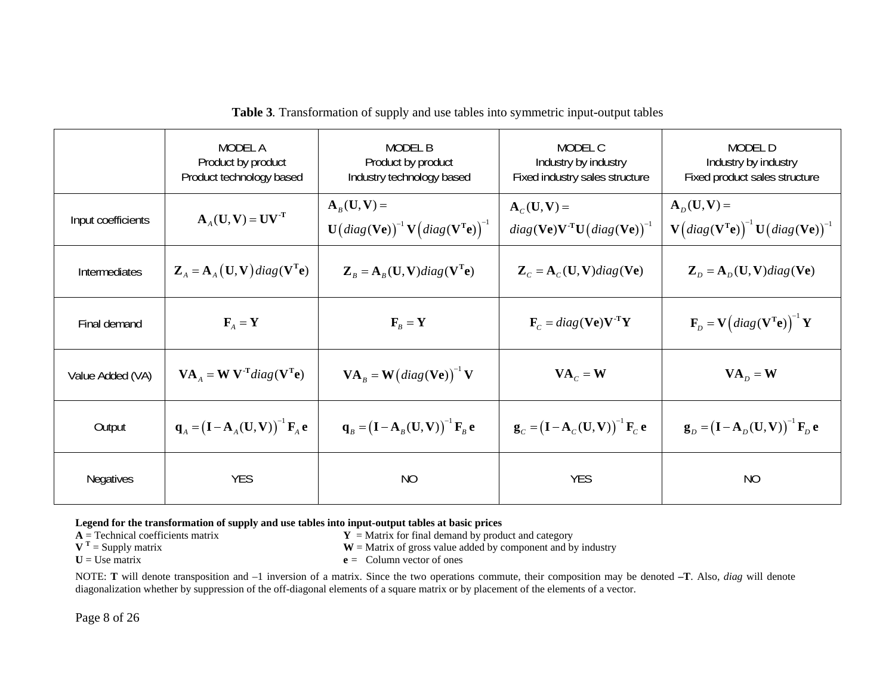|                      | MODEL A<br>Product by product<br>Product technology based                                          | MODEL B<br>Product by product<br>Industry technology based                                                                                               | MODEL C<br>Industry by industry<br>Fixed industry sales structure                           | MODEL D<br>Industry by industry<br>Fixed product sales structure                                                                                                                      |
|----------------------|----------------------------------------------------------------------------------------------------|----------------------------------------------------------------------------------------------------------------------------------------------------------|---------------------------------------------------------------------------------------------|---------------------------------------------------------------------------------------------------------------------------------------------------------------------------------------|
| Input coefficients   | $\mathbf{A}_{4}(\mathbf{U},\mathbf{V}) = \mathbf{U}\mathbf{V}^{\mathrm{T}}$                        | $\mathbf{A}_{R}(\mathbf{U},\mathbf{V})=$<br>$\mathbf{U}\big(diag(\mathbf{Ve})\big)^{-1}\mathbf{V}\big(diag(\mathbf{V}^{\mathrm{T}}\mathbf{e})\big)^{-1}$ | $A_C(U, V) =$<br>$diag(\mathbf{Ve})\mathbf{V}^{\text{T}}\mathbf{U}(diag(\mathbf{Ve}))^{-1}$ | $\mathbf{A}_D(\mathbf{U},\mathbf{V})=$<br>$\mathbf{V}\big( \text{diag}(\mathbf{V}^{\mathrm{T}} \mathbf{e}) \big)^{-1} \mathbf{U} \big( \text{diag}(\mathbf{V} \mathbf{e}) \big)^{-1}$ |
| <b>Intermediates</b> | $\mathbf{Z}_{A} = \mathbf{A}_{A}(\mathbf{U}, \mathbf{V}) diag(\mathbf{V}^{\mathrm{T}} \mathbf{e})$ | $\mathbf{Z}_B = \mathbf{A}_B(\mathbf{U}, \mathbf{V}) diag(\mathbf{V}^{\mathrm{T}} \mathbf{e})$                                                           | $\mathbf{Z}_c = \mathbf{A}_c(\mathbf{U}, \mathbf{V}) diag(\mathbf{V}\mathbf{e})$            | $\mathbf{Z}_p = \mathbf{A}_p(\mathbf{U}, \mathbf{V}) diag(\mathbf{V}\mathbf{e})$                                                                                                      |
| Final demand         | $\mathbf{F}_{A} = \mathbf{Y}$                                                                      | $\mathbf{F}_{R}=\mathbf{Y}$                                                                                                                              | $\mathbf{F}_c = diag(\mathbf{V}\mathbf{e})\mathbf{V}^{\mathrm{T}}\mathbf{Y}$                | $\mathbf{F}_D = \mathbf{V}\left(diag(\mathbf{V}^{\mathrm{T}}\mathbf{e})\right)^{-1}\mathbf{Y}$                                                                                        |
| Value Added (VA)     | $\mathbf{VA}_{A} = \mathbf{W} \mathbf{V}^{\text{T}} diag(\mathbf{V}^{\text{T}} \mathbf{e})$        | $\mathbf{VA}_{B} = \mathbf{W}\left(diag(\mathbf{Ve})\right)^{-1}\mathbf{V}$                                                                              | $\mathbf{VA}_{C} = \mathbf{W}$                                                              | $\mathbf{VA}_D = \mathbf{W}$                                                                                                                                                          |
| Output               | ${\bf q}_A = ({\bf I} - {\bf A}_A({\bf U},{\bf V}))^{-1} {\bf F}_A {\bf e}$                        | $\mathbf{q}_B = (\mathbf{I} - \mathbf{A}_B(\mathbf{U}, \mathbf{V}))^{-1} \mathbf{F}_B \mathbf{e}$                                                        | ${\bf g}_c = (I - A_c(U, V))$ <sup>-1</sup> ${\bf F}_c$ e                                   | $\mathbf{g}_D = (\mathbf{I} - \mathbf{A}_D(\mathbf{U}, \mathbf{V}))^{-1} \mathbf{F}_D \mathbf{e}$                                                                                     |
| <b>Negatives</b>     | <b>YES</b>                                                                                         | NO                                                                                                                                                       | <b>YES</b>                                                                                  | NO                                                                                                                                                                                    |

**Table 3***.* Transformation of supply and use tables into symmetric input-output tables

# **Legend for the transformation of supply and use tables into input-output tables at basic prices**  $A =$  **Technical coefficients matrix**  $Y =$  **Matrix for final demand by production**

 $\mathbf{A}$  = Technical coefficients matrix **Y** = Matrix for final demand by product and category

- **V**<sup>T</sup> = Supply matrix **W** = Matrix of gross value added by component and by industry
- 
- **U** = Use matrix **<sup>e</sup>** *<sup>=</sup>* Column vector of ones

NOTE: **T** will denote transposition and –1 inversion of a matrix. Since the two operations commute, their composition may be denoted **–T**. Also, *diag* will denote diagonalization whether by suppression of the off-diagonal elements of a square matrix or by placement of the elements of a vector.

Page 8 of 26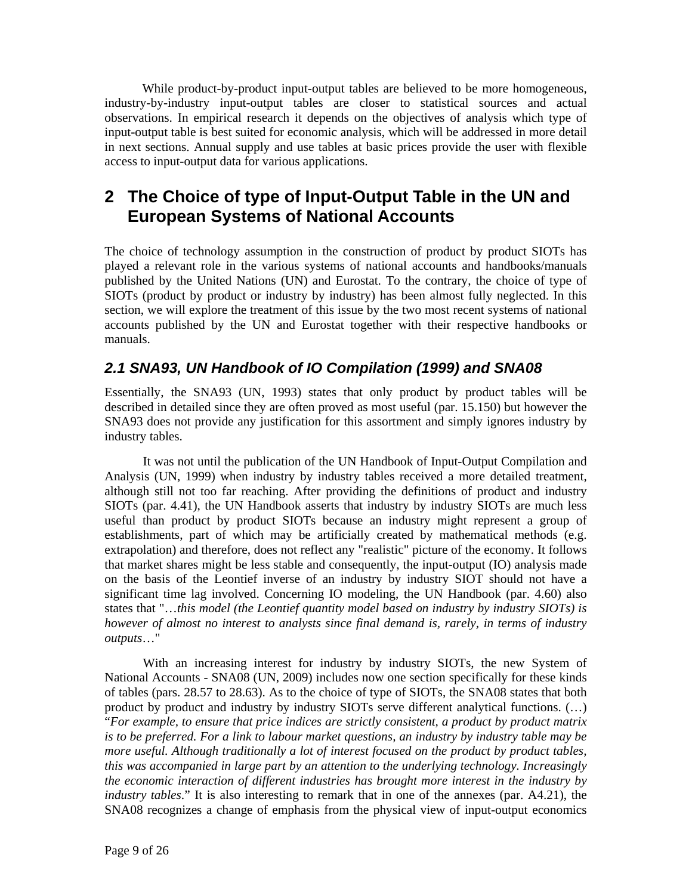While product-by-product input-output tables are believed to be more homogeneous, industry-by-industry input-output tables are closer to statistical sources and actual observations. In empirical research it depends on the objectives of analysis which type of input-output table is best suited for economic analysis, which will be addressed in more detail in next sections. Annual supply and use tables at basic prices provide the user with flexible access to input-output data for various applications.

## **2 The Choice of type of Input-Output Table in the UN and European Systems of National Accounts**

The choice of technology assumption in the construction of product by product SIOTs has played a relevant role in the various systems of national accounts and handbooks/manuals published by the United Nations (UN) and Eurostat. To the contrary, the choice of type of SIOTs (product by product or industry by industry) has been almost fully neglected. In this section, we will explore the treatment of this issue by the two most recent systems of national accounts published by the UN and Eurostat together with their respective handbooks or manuals.

### *2.1 SNA93, UN Handbook of IO Compilation (1999) and SNA08*

Essentially, the SNA93 (UN, 1993) states that only product by product tables will be described in detailed since they are often proved as most useful (par. 15.150) but however the SNA93 does not provide any justification for this assortment and simply ignores industry by industry tables.

 It was not until the publication of the UN Handbook of Input-Output Compilation and Analysis (UN, 1999) when industry by industry tables received a more detailed treatment, although still not too far reaching. After providing the definitions of product and industry SIOTs (par. 4.41), the UN Handbook asserts that industry by industry SIOTs are much less useful than product by product SIOTs because an industry might represent a group of establishments, part of which may be artificially created by mathematical methods (e.g. extrapolation) and therefore, does not reflect any "realistic" picture of the economy. It follows that market shares might be less stable and consequently, the input-output (IO) analysis made on the basis of the Leontief inverse of an industry by industry SIOT should not have a significant time lag involved. Concerning IO modeling, the UN Handbook (par. 4.60) also states that "…*this model (the Leontief quantity model based on industry by industry SIOTs) is however of almost no interest to analysts since final demand is, rarely, in terms of industry outputs*…"

 With an increasing interest for industry by industry SIOTs, the new System of National Accounts - SNA08 (UN, 2009) includes now one section specifically for these kinds of tables (pars. 28.57 to 28.63). As to the choice of type of SIOTs, the SNA08 states that both product by product and industry by industry SIOTs serve different analytical functions. (…) "*For example, to ensure that price indices are strictly consistent, a product by product matrix is to be preferred. For a link to labour market questions, an industry by industry table may be more useful. Although traditionally a lot of interest focused on the product by product tables, this was accompanied in large part by an attention to the underlying technology. Increasingly the economic interaction of different industries has brought more interest in the industry by industry tables*." It is also interesting to remark that in one of the annexes (par. A4.21), the SNA08 recognizes a change of emphasis from the physical view of input-output economics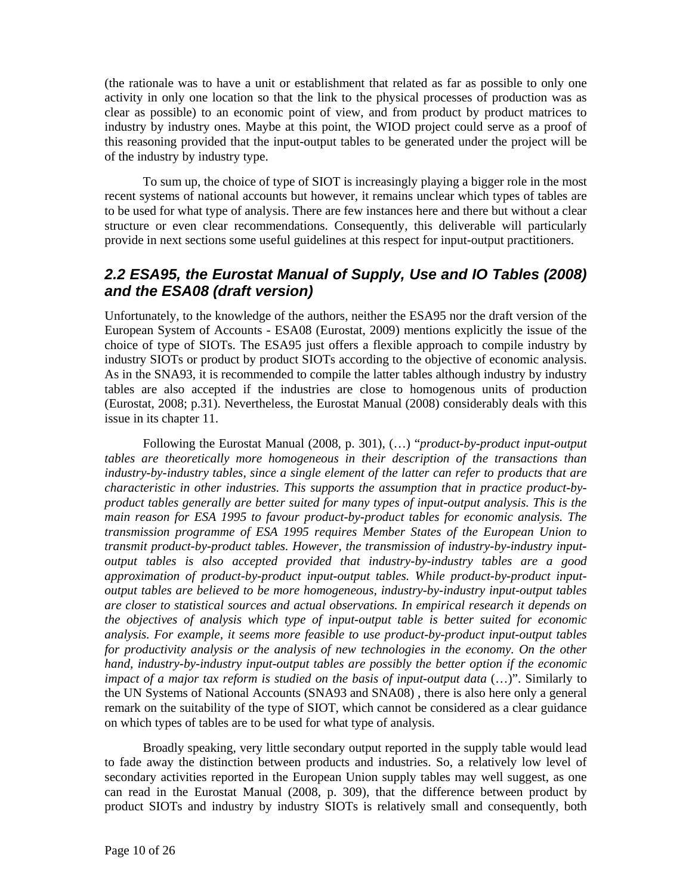(the rationale was to have a unit or establishment that related as far as possible to only one activity in only one location so that the link to the physical processes of production was as clear as possible) to an economic point of view, and from product by product matrices to industry by industry ones. Maybe at this point, the WIOD project could serve as a proof of this reasoning provided that the input-output tables to be generated under the project will be of the industry by industry type.

 To sum up, the choice of type of SIOT is increasingly playing a bigger role in the most recent systems of national accounts but however, it remains unclear which types of tables are to be used for what type of analysis. There are few instances here and there but without a clear structure or even clear recommendations. Consequently, this deliverable will particularly provide in next sections some useful guidelines at this respect for input-output practitioners.

### *2.2 ESA95, the Eurostat Manual of Supply, Use and IO Tables (2008) and the ESA08 (draft version)*

Unfortunately, to the knowledge of the authors, neither the ESA95 nor the draft version of the European System of Accounts - ESA08 (Eurostat, 2009) mentions explicitly the issue of the choice of type of SIOTs. The ESA95 just offers a flexible approach to compile industry by industry SIOTs or product by product SIOTs according to the objective of economic analysis. As in the SNA93, it is recommended to compile the latter tables although industry by industry tables are also accepted if the industries are close to homogenous units of production (Eurostat, 2008; p.31). Nevertheless, the Eurostat Manual (2008) considerably deals with this issue in its chapter 11.

 Following the Eurostat Manual (2008, p. 301), (…) "*product-by-product input-output tables are theoretically more homogeneous in their description of the transactions than industry-by-industry tables, since a single element of the latter can refer to products that are characteristic in other industries. This supports the assumption that in practice product-byproduct tables generally are better suited for many types of input-output analysis. This is the main reason for ESA 1995 to favour product-by-product tables for economic analysis. The transmission programme of ESA 1995 requires Member States of the European Union to transmit product-by-product tables. However, the transmission of industry-by-industry inputoutput tables is also accepted provided that industry-by-industry tables are a good approximation of product-by-product input-output tables. While product-by-product inputoutput tables are believed to be more homogeneous, industry-by-industry input-output tables are closer to statistical sources and actual observations. In empirical research it depends on the objectives of analysis which type of input-output table is better suited for economic analysis. For example, it seems more feasible to use product-by-product input-output tables for productivity analysis or the analysis of new technologies in the economy. On the other hand, industry-by-industry input-output tables are possibly the better option if the economic impact of a major tax reform is studied on the basis of input-output data* (…)". Similarly to the UN Systems of National Accounts (SNA93 and SNA08) , there is also here only a general remark on the suitability of the type of SIOT, which cannot be considered as a clear guidance on which types of tables are to be used for what type of analysis.

 Broadly speaking, very little secondary output reported in the supply table would lead to fade away the distinction between products and industries. So, a relatively low level of secondary activities reported in the European Union supply tables may well suggest, as one can read in the Eurostat Manual (2008, p. 309), that the difference between product by product SIOTs and industry by industry SIOTs is relatively small and consequently, both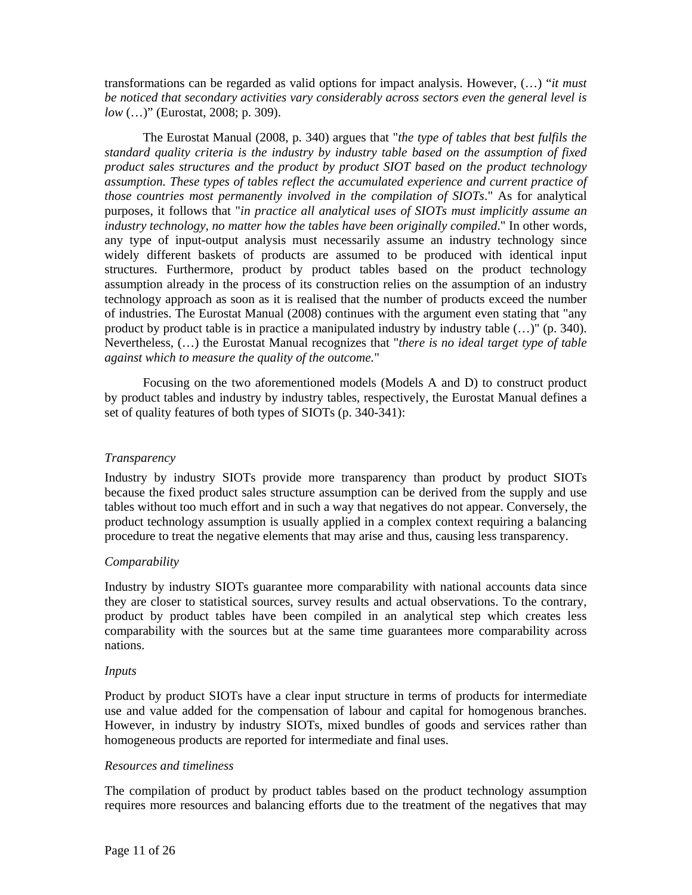transformations can be regarded as valid options for impact analysis. However, (…) "*it must be noticed that secondary activities vary considerably across sectors even the general level is low* (…)" (Eurostat, 2008; p. 309).

 The Eurostat Manual (2008, p. 340) argues that "*the type of tables that best fulfils the standard quality criteria is the industry by industry table based on the assumption of fixed product sales structures and the product by product SIOT based on the product technology assumption. These types of tables reflect the accumulated experience and current practice of those countries most permanently involved in the compilation of SIOTs*." As for analytical purposes, it follows that "*in practice all analytical uses of SIOTs must implicitly assume an industry technology, no matter how the tables have been originally compiled*." In other words, any type of input-output analysis must necessarily assume an industry technology since widely different baskets of products are assumed to be produced with identical input structures. Furthermore, product by product tables based on the product technology assumption already in the process of its construction relies on the assumption of an industry technology approach as soon as it is realised that the number of products exceed the number of industries. The Eurostat Manual (2008) continues with the argument even stating that "any product by product table is in practice a manipulated industry by industry table (…)" (p. 340). Nevertheless, (…) the Eurostat Manual recognizes that "*there is no ideal target type of table against which to measure the quality of the outcome.*"

 Focusing on the two aforementioned models (Models A and D) to construct product by product tables and industry by industry tables, respectively, the Eurostat Manual defines a set of quality features of both types of SIOTs (p. 340-341):

#### *Transparency*

Industry by industry SIOTs provide more transparency than product by product SIOTs because the fixed product sales structure assumption can be derived from the supply and use tables without too much effort and in such a way that negatives do not appear. Conversely, the product technology assumption is usually applied in a complex context requiring a balancing procedure to treat the negative elements that may arise and thus, causing less transparency.

#### *Comparability*

Industry by industry SIOTs guarantee more comparability with national accounts data since they are closer to statistical sources, survey results and actual observations. To the contrary, product by product tables have been compiled in an analytical step which creates less comparability with the sources but at the same time guarantees more comparability across nations.

#### *Inputs*

Product by product SIOTs have a clear input structure in terms of products for intermediate use and value added for the compensation of labour and capital for homogenous branches. However, in industry by industry SIOTs, mixed bundles of goods and services rather than homogeneous products are reported for intermediate and final uses.

#### *Resources and timeliness*

The compilation of product by product tables based on the product technology assumption requires more resources and balancing efforts due to the treatment of the negatives that may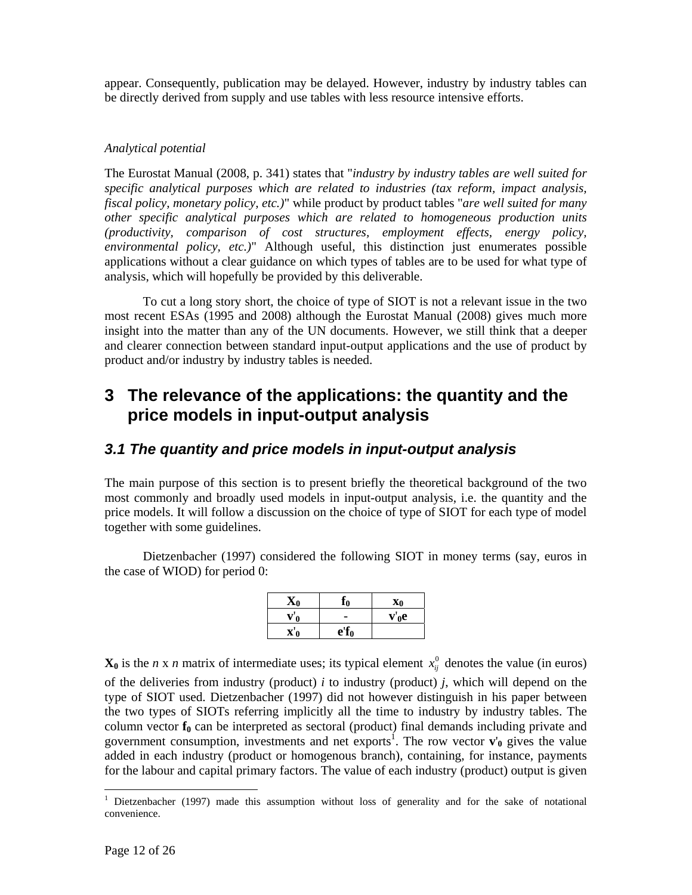appear. Consequently, publication may be delayed. However, industry by industry tables can be directly derived from supply and use tables with less resource intensive efforts.

#### *Analytical potential*

The Eurostat Manual (2008, p. 341) states that "*industry by industry tables are well suited for specific analytical purposes which are related to industries (tax reform, impact analysis, fiscal policy, monetary policy, etc.)*" while product by product tables "*are well suited for many other specific analytical purposes which are related to homogeneous production units (productivity, comparison of cost structures, employment effects, energy policy, environmental policy, etc.)*" Although useful, this distinction just enumerates possible applications without a clear guidance on which types of tables are to be used for what type of analysis, which will hopefully be provided by this deliverable.

 To cut a long story short, the choice of type of SIOT is not a relevant issue in the two most recent ESAs (1995 and 2008) although the Eurostat Manual (2008) gives much more insight into the matter than any of the UN documents. However, we still think that a deeper and clearer connection between standard input-output applications and the use of product by product and/or industry by industry tables is needed.

## **3 The relevance of the applications: the quantity and the price models in input-output analysis**

### *3.1 The quantity and price models in input-output analysis*

The main purpose of this section is to present briefly the theoretical background of the two most commonly and broadly used models in input-output analysis, i.e. the quantity and the price models. It will follow a discussion on the choice of type of SIOT for each type of model together with some guidelines.

 Dietzenbacher (1997) considered the following SIOT in money terms (say, euros in the case of WIOD) for period 0:

| $\mathbf{X}_0$               | ٤O      | Χŋ                        |
|------------------------------|---------|---------------------------|
| ${\bf V}'$<br>$\overline{0}$ |         | $\mathbf{v}'_0\mathbf{e}$ |
| $\mathbf{X}$                 | $e'f_0$ |                           |

 $\mathbf{X}_0$  is the *n* x *n* matrix of intermediate uses; its typical element  $x_{ij}^0$  denotes the value (in euros)

of the deliveries from industry (product) *i* to industry (product) *j*, which will depend on the type of SIOT used. Dietzenbacher (1997) did not however distinguish in his paper between the two types of SIOTs referring implicitly all the time to industry by industry tables. The column vector  $f_0$  can be interpreted as sectoral (product) final demands including private and government consumption, investments and net exports<sup>1</sup>. The row vector  $\mathbf{v}_0$  gives the value added in each industry (product or homogenous branch), containing, for instance, payments for the labour and capital primary factors. The value of each industry (product) output is given

l

<sup>1</sup> Dietzenbacher (1997) made this assumption without loss of generality and for the sake of notational convenience.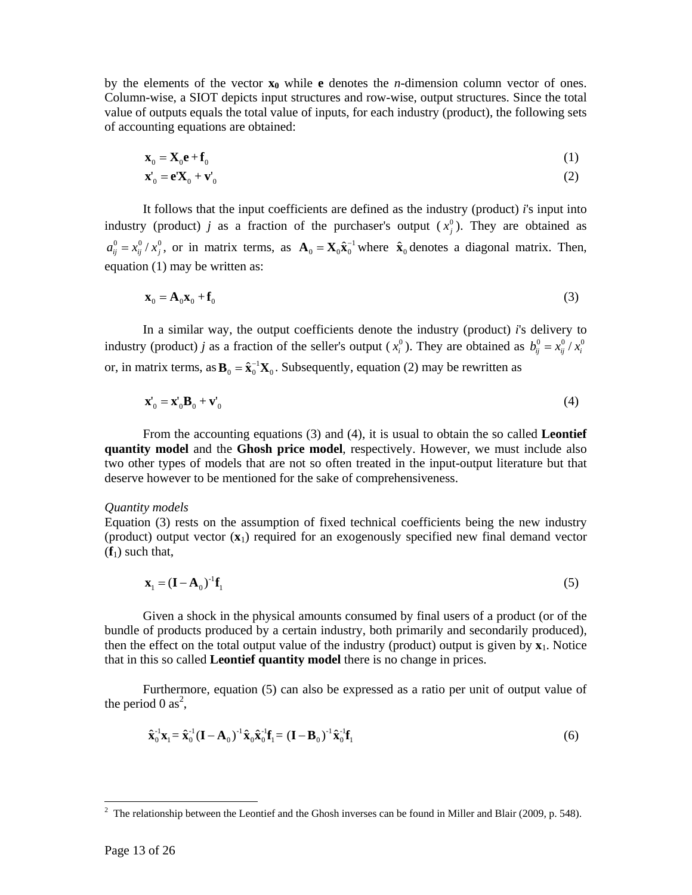by the elements of the vector  $\mathbf{x}_0$  while **e** denotes the *n*-dimension column vector of ones. Column-wise, a SIOT depicts input structures and row-wise, output structures. Since the total value of outputs equals the total value of inputs, for each industry (product), the following sets of accounting equations are obtained:

$$
\mathbf{x}_0 = \mathbf{X}_0 \mathbf{e} + \mathbf{f}_0 \tag{1}
$$

$$
\mathbf{x}'_0 = \mathbf{e}\mathbf{X}_0 + \mathbf{v}'_0 \tag{2}
$$

It follows that the input coefficients are defined as the industry (product) *i*'s input into industry (product) *j* as a fraction of the purchaser's output  $(x_j^0)$ . They are obtained as  $a_{ij}^0 = x_{ij}^0 / x_j^0$ , or in matrix terms, as  $\mathbf{A}_0 = \mathbf{X}_0 \hat{\mathbf{x}}_0^{-1}$  where  $\hat{\mathbf{x}}_0$  denotes a diagonal matrix. Then, equation (1) may be written as:

$$
\mathbf{x}_0 = \mathbf{A}_0 \mathbf{x}_0 + \mathbf{f}_0 \tag{3}
$$

 In a similar way, the output coefficients denote the industry (product) *i*'s delivery to industry (product) *j* as a fraction of the seller's output ( $x_i^0$ ). They are obtained as  $b_{ij}^0 = x_{ij}^0 / x_i^0$ or, in matrix terms, as  $\mathbf{B}_0 = \hat{\mathbf{x}}_0^{-1} \mathbf{X}_0$ . Subsequently, equation (2) may be rewritten as

$$
\mathbf{x}'_0 = \mathbf{x}'_0 \mathbf{B}_0 + \mathbf{v}'_0 \tag{4}
$$

 From the accounting equations (3) and (4), it is usual to obtain the so called **Leontief quantity model** and the **Ghosh price model**, respectively. However, we must include also two other types of models that are not so often treated in the input-output literature but that deserve however to be mentioned for the sake of comprehensiveness.

#### *Quantity models*

Equation (3) rests on the assumption of fixed technical coefficients being the new industry (product) output vector (**x**1) required for an exogenously specified new final demand vector  $(f_1)$  such that,

$$
\mathbf{x}_{1} = (\mathbf{I} - \mathbf{A}_{0})^{-1} \mathbf{f}_{1} \tag{5}
$$

 Given a shock in the physical amounts consumed by final users of a product (or of the bundle of products produced by a certain industry, both primarily and secondarily produced), then the effect on the total output value of the industry (product) output is given by  $\mathbf{x}_1$ . Notice that in this so called **Leontief quantity model** there is no change in prices.

 Furthermore, equation (5) can also be expressed as a ratio per unit of output value of the period 0 as<sup>2</sup>,

$$
\hat{\mathbf{x}}_0^{-1}\mathbf{x}_1 = \hat{\mathbf{x}}_0^{-1}(\mathbf{I} - \mathbf{A}_0)^{-1}\hat{\mathbf{x}}_0\hat{\mathbf{x}}_0^{-1}\mathbf{f}_1 = (\mathbf{I} - \mathbf{B}_0)^{-1}\hat{\mathbf{x}}_0^{-1}\mathbf{f}_1
$$
\n(6)

l

<sup>&</sup>lt;sup>2</sup> The relationship between the Leontief and the Ghosh inverses can be found in Miller and Blair (2009, p. 548).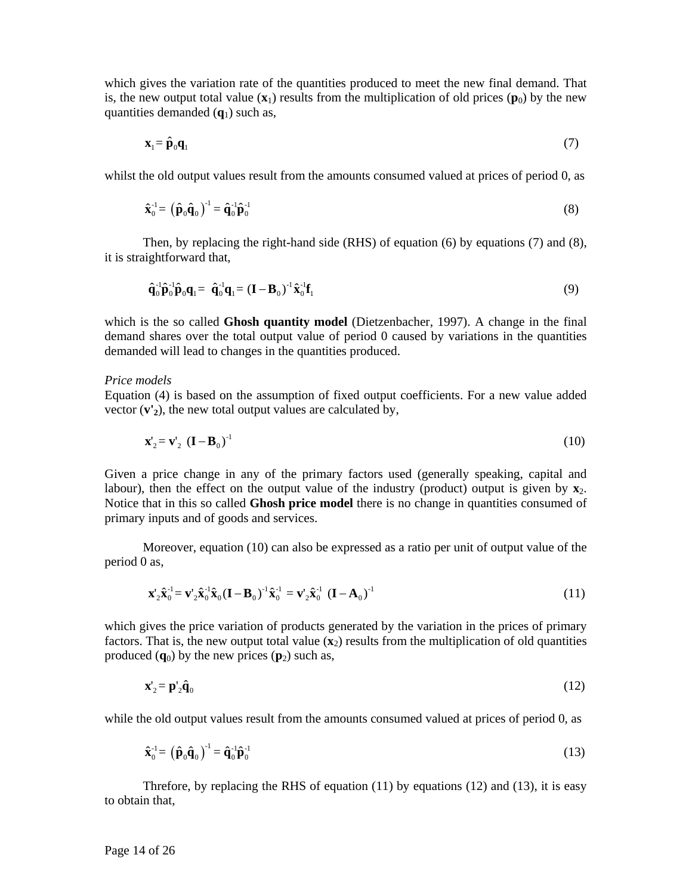which gives the variation rate of the quantities produced to meet the new final demand. That is, the new output total value  $(\mathbf{x}_1)$  results from the multiplication of old prices  $(\mathbf{p}_0)$  by the new quantities demanded (**q**1) such as,

$$
\mathbf{x}_{1} = \hat{\mathbf{p}}_{0}\mathbf{q}_{1} \tag{7}
$$

whilst the old output values result from the amounts consumed valued at prices of period 0, as

$$
\hat{\mathbf{x}}_0^{-1} = \left(\hat{\mathbf{p}}_0 \hat{\mathbf{q}}_0\right)^{-1} = \hat{\mathbf{q}}_0^{-1} \hat{\mathbf{p}}_0^{-1} \tag{8}
$$

Then, by replacing the right-hand side (RHS) of equation (6) by equations (7) and (8), it is straightforward that,

$$
\hat{\mathbf{q}}_0^{-1} \hat{\mathbf{p}}_0^{-1} \hat{\mathbf{p}}_0 \mathbf{q}_1 = \hat{\mathbf{q}}_0^{-1} \mathbf{q}_1 = (\mathbf{I} - \mathbf{B}_0)^{-1} \hat{\mathbf{x}}_0^{-1} \mathbf{f}_1
$$
\n(9)

which is the so called **Ghosh quantity model** (Dietzenbacher, 1997). A change in the final demand shares over the total output value of period 0 caused by variations in the quantities demanded will lead to changes in the quantities produced.

#### *Price models*

Equation (4) is based on the assumption of fixed output coefficients. For a new value added vector  $(v')$ , the new total output values are calculated by,

$$
\mathbf{x}'_2 = \mathbf{v}'_2 \ (\mathbf{I} - \mathbf{B}_0)^{-1} \tag{10}
$$

Given a price change in any of the primary factors used (generally speaking, capital and labour), then the effect on the output value of the industry (product) output is given by  $\mathbf{x}_2$ . Notice that in this so called **Ghosh price model** there is no change in quantities consumed of primary inputs and of goods and services.

 Moreover, equation (10) can also be expressed as a ratio per unit of output value of the period 0 as,

$$
\mathbf{x}_{2}^{\prime}\hat{\mathbf{x}}_{0}^{1} = \mathbf{v}_{2}^{\prime}\hat{\mathbf{x}}_{0}^{1}\hat{\mathbf{x}}_{0}(\mathbf{I} - \mathbf{B}_{0})^{-1}\hat{\mathbf{x}}_{0}^{1} = \mathbf{v}_{2}^{\prime}\hat{\mathbf{x}}_{0}^{1}(\mathbf{I} - \mathbf{A}_{0})^{-1}
$$
\n(11)

which gives the price variation of products generated by the variation in the prices of primary factors. That is, the new output total value  $(\mathbf{x}_2)$  results from the multiplication of old quantities produced  $(q_0)$  by the new prices  $(p_2)$  such as,

$$
\mathbf{x}'_2 = \mathbf{p}'_2 \hat{\mathbf{q}}_0 \tag{12}
$$

while the old output values result from the amounts consumed valued at prices of period 0, as

$$
\hat{\mathbf{x}}_0^{-1} = \left(\hat{\mathbf{p}}_0 \hat{\mathbf{q}}_0\right)^{-1} = \hat{\mathbf{q}}_0^{-1} \hat{\mathbf{p}}_0^{-1} \tag{13}
$$

Threfore, by replacing the RHS of equation  $(11)$  by equations  $(12)$  and  $(13)$ , it is easy to obtain that,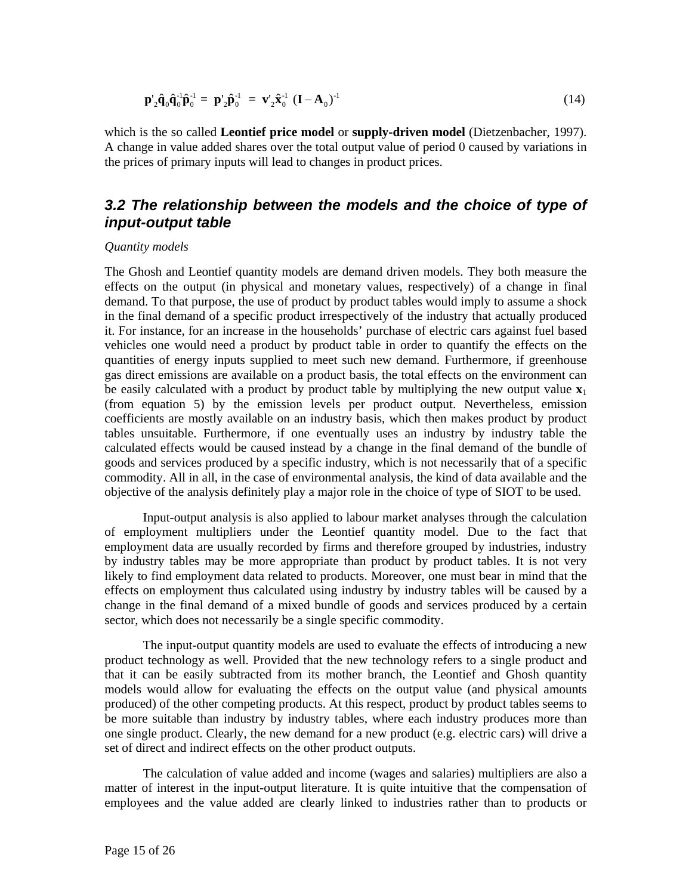$$
\mathbf{p}'_2 \hat{\mathbf{q}}_0 \hat{\mathbf{q}}_0^{-1} \hat{\mathbf{p}}_0^{-1} = \mathbf{p}'_2 \hat{\mathbf{p}}_0^{-1} = \mathbf{v}'_2 \hat{\mathbf{x}}_0^{-1} (\mathbf{I} - \mathbf{A}_0)^{-1}
$$
(14)

which is the so called **Leontief price model** or **supply-driven model** (Dietzenbacher, 1997). A change in value added shares over the total output value of period 0 caused by variations in the prices of primary inputs will lead to changes in product prices.

### *3.2 The relationship between the models and the choice of type of input-output table*

#### *Quantity models*

The Ghosh and Leontief quantity models are demand driven models. They both measure the effects on the output (in physical and monetary values, respectively) of a change in final demand. To that purpose, the use of product by product tables would imply to assume a shock in the final demand of a specific product irrespectively of the industry that actually produced it. For instance, for an increase in the households' purchase of electric cars against fuel based vehicles one would need a product by product table in order to quantify the effects on the quantities of energy inputs supplied to meet such new demand. Furthermore, if greenhouse gas direct emissions are available on a product basis, the total effects on the environment can be easily calculated with a product by product table by multiplying the new output value  $\mathbf{x}_1$ (from equation 5) by the emission levels per product output. Nevertheless, emission coefficients are mostly available on an industry basis, which then makes product by product tables unsuitable. Furthermore, if one eventually uses an industry by industry table the calculated effects would be caused instead by a change in the final demand of the bundle of goods and services produced by a specific industry, which is not necessarily that of a specific commodity. All in all, in the case of environmental analysis, the kind of data available and the objective of the analysis definitely play a major role in the choice of type of SIOT to be used.

Input-output analysis is also applied to labour market analyses through the calculation of employment multipliers under the Leontief quantity model. Due to the fact that employment data are usually recorded by firms and therefore grouped by industries, industry by industry tables may be more appropriate than product by product tables. It is not very likely to find employment data related to products. Moreover, one must bear in mind that the effects on employment thus calculated using industry by industry tables will be caused by a change in the final demand of a mixed bundle of goods and services produced by a certain sector, which does not necessarily be a single specific commodity.

The input-output quantity models are used to evaluate the effects of introducing a new product technology as well. Provided that the new technology refers to a single product and that it can be easily subtracted from its mother branch, the Leontief and Ghosh quantity models would allow for evaluating the effects on the output value (and physical amounts produced) of the other competing products. At this respect, product by product tables seems to be more suitable than industry by industry tables, where each industry produces more than one single product. Clearly, the new demand for a new product (e.g. electric cars) will drive a set of direct and indirect effects on the other product outputs.

The calculation of value added and income (wages and salaries) multipliers are also a matter of interest in the input-output literature. It is quite intuitive that the compensation of employees and the value added are clearly linked to industries rather than to products or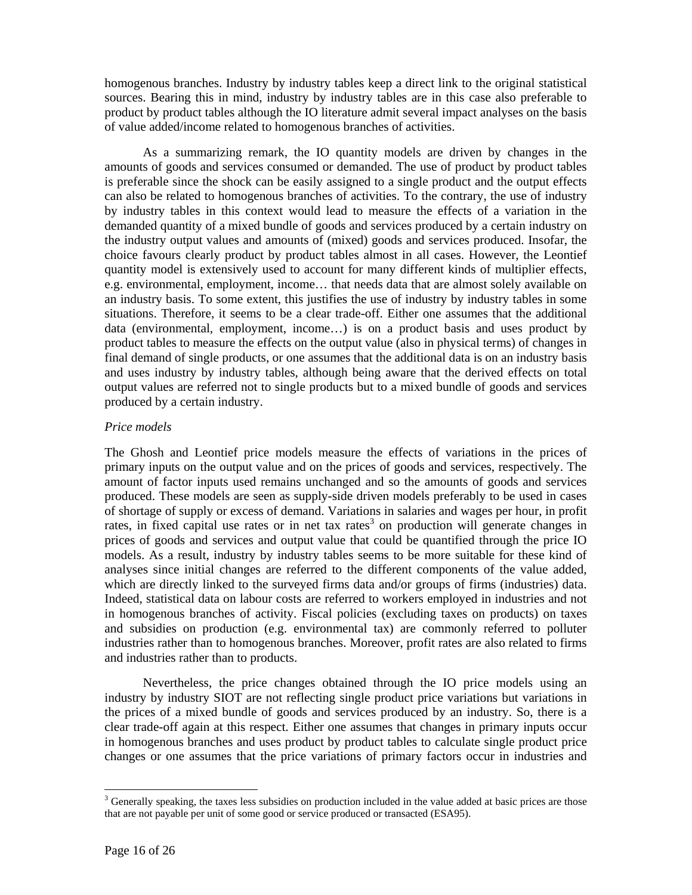homogenous branches. Industry by industry tables keep a direct link to the original statistical sources. Bearing this in mind, industry by industry tables are in this case also preferable to product by product tables although the IO literature admit several impact analyses on the basis of value added/income related to homogenous branches of activities.

As a summarizing remark, the IO quantity models are driven by changes in the amounts of goods and services consumed or demanded. The use of product by product tables is preferable since the shock can be easily assigned to a single product and the output effects can also be related to homogenous branches of activities. To the contrary, the use of industry by industry tables in this context would lead to measure the effects of a variation in the demanded quantity of a mixed bundle of goods and services produced by a certain industry on the industry output values and amounts of (mixed) goods and services produced. Insofar, the choice favours clearly product by product tables almost in all cases. However, the Leontief quantity model is extensively used to account for many different kinds of multiplier effects, e.g. environmental, employment, income… that needs data that are almost solely available on an industry basis. To some extent, this justifies the use of industry by industry tables in some situations. Therefore, it seems to be a clear trade-off. Either one assumes that the additional data (environmental, employment, income…) is on a product basis and uses product by product tables to measure the effects on the output value (also in physical terms) of changes in final demand of single products, or one assumes that the additional data is on an industry basis and uses industry by industry tables, although being aware that the derived effects on total output values are referred not to single products but to a mixed bundle of goods and services produced by a certain industry.

#### *Price models*

The Ghosh and Leontief price models measure the effects of variations in the prices of primary inputs on the output value and on the prices of goods and services, respectively. The amount of factor inputs used remains unchanged and so the amounts of goods and services produced. These models are seen as supply-side driven models preferably to be used in cases of shortage of supply or excess of demand. Variations in salaries and wages per hour, in profit rates, in fixed capital use rates or in net tax rates<sup>3</sup> on production will generate changes in prices of goods and services and output value that could be quantified through the price IO models. As a result, industry by industry tables seems to be more suitable for these kind of analyses since initial changes are referred to the different components of the value added, which are directly linked to the surveyed firms data and/or groups of firms (industries) data. Indeed, statistical data on labour costs are referred to workers employed in industries and not in homogenous branches of activity. Fiscal policies (excluding taxes on products) on taxes and subsidies on production (e.g. environmental tax) are commonly referred to polluter industries rather than to homogenous branches. Moreover, profit rates are also related to firms and industries rather than to products.

 Nevertheless, the price changes obtained through the IO price models using an industry by industry SIOT are not reflecting single product price variations but variations in the prices of a mixed bundle of goods and services produced by an industry. So, there is a clear trade-off again at this respect. Either one assumes that changes in primary inputs occur in homogenous branches and uses product by product tables to calculate single product price changes or one assumes that the price variations of primary factors occur in industries and

 $\overline{\phantom{a}}$ 

<sup>&</sup>lt;sup>3</sup> Generally speaking, the taxes less subsidies on production included in the value added at basic prices are those that are not payable per unit of some good or service produced or transacted (ESA95).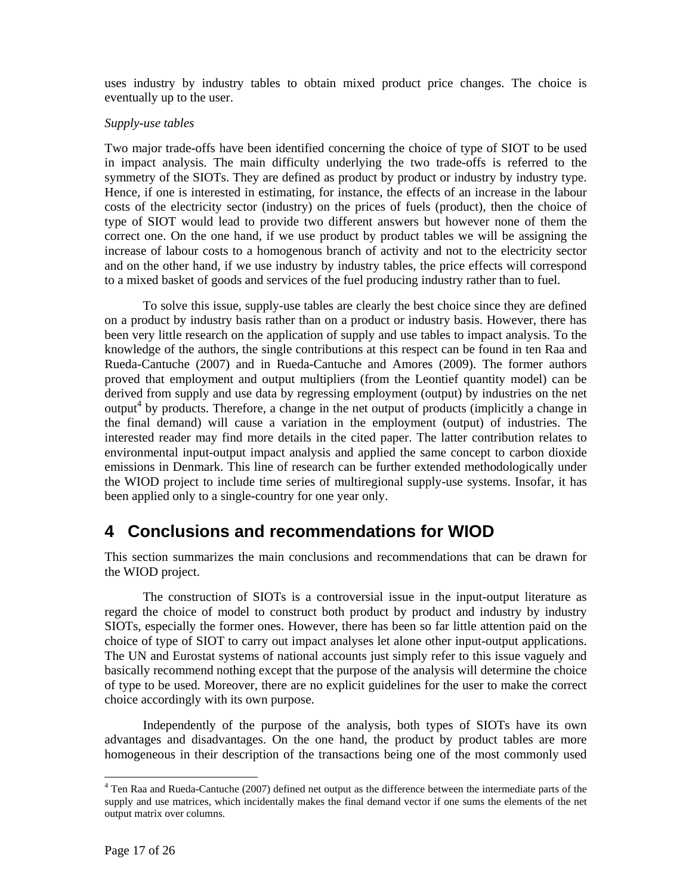uses industry by industry tables to obtain mixed product price changes. The choice is eventually up to the user.

#### *Supply-use tables*

Two major trade-offs have been identified concerning the choice of type of SIOT to be used in impact analysis. The main difficulty underlying the two trade-offs is referred to the symmetry of the SIOTs. They are defined as product by product or industry by industry type. Hence, if one is interested in estimating, for instance, the effects of an increase in the labour costs of the electricity sector (industry) on the prices of fuels (product), then the choice of type of SIOT would lead to provide two different answers but however none of them the correct one. On the one hand, if we use product by product tables we will be assigning the increase of labour costs to a homogenous branch of activity and not to the electricity sector and on the other hand, if we use industry by industry tables, the price effects will correspond to a mixed basket of goods and services of the fuel producing industry rather than to fuel.

 To solve this issue, supply-use tables are clearly the best choice since they are defined on a product by industry basis rather than on a product or industry basis. However, there has been very little research on the application of supply and use tables to impact analysis. To the knowledge of the authors, the single contributions at this respect can be found in ten Raa and Rueda-Cantuche (2007) and in Rueda-Cantuche and Amores (2009). The former authors proved that employment and output multipliers (from the Leontief quantity model) can be derived from supply and use data by regressing employment (output) by industries on the net output<sup>4</sup> by products. Therefore, a change in the net output of products (implicitly a change in the final demand) will cause a variation in the employment (output) of industries. The interested reader may find more details in the cited paper. The latter contribution relates to environmental input-output impact analysis and applied the same concept to carbon dioxide emissions in Denmark. This line of research can be further extended methodologically under the WIOD project to include time series of multiregional supply-use systems. Insofar, it has been applied only to a single-country for one year only.

### **4 Conclusions and recommendations for WIOD**

This section summarizes the main conclusions and recommendations that can be drawn for the WIOD project.

 The construction of SIOTs is a controversial issue in the input-output literature as regard the choice of model to construct both product by product and industry by industry SIOTs, especially the former ones. However, there has been so far little attention paid on the choice of type of SIOT to carry out impact analyses let alone other input-output applications. The UN and Eurostat systems of national accounts just simply refer to this issue vaguely and basically recommend nothing except that the purpose of the analysis will determine the choice of type to be used. Moreover, there are no explicit guidelines for the user to make the correct choice accordingly with its own purpose.

 Independently of the purpose of the analysis, both types of SIOTs have its own advantages and disadvantages. On the one hand, the product by product tables are more homogeneous in their description of the transactions being one of the most commonly used

<sup>&</sup>lt;sup>4</sup> Ten Raa and Rueda-Cantuche (2007) defined net output as the difference between the intermediate parts of the supply and use matrices, which incidentally makes the final demand vector if one sums the elements of the net output matrix over columns.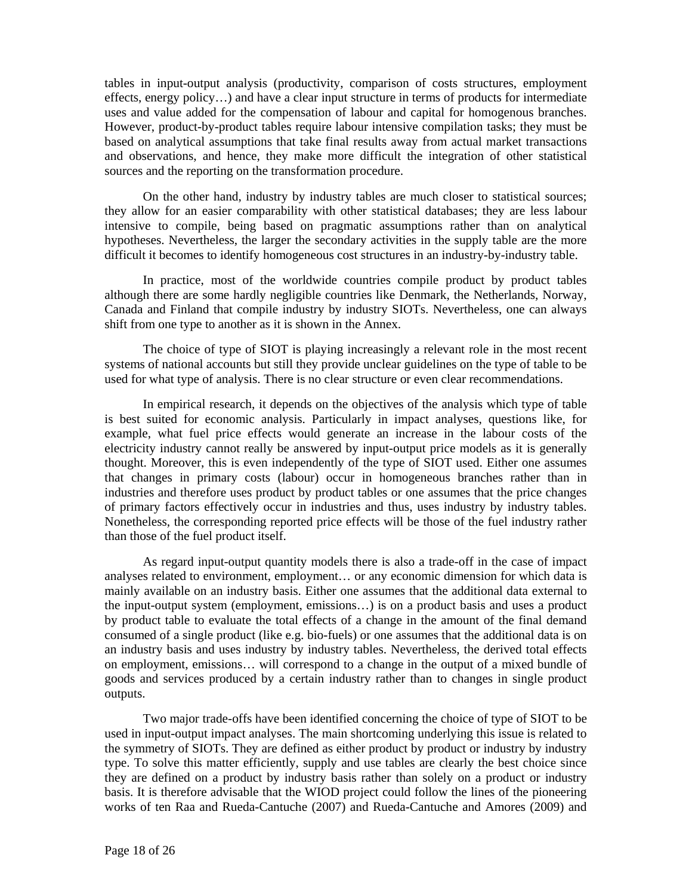tables in input-output analysis (productivity, comparison of costs structures, employment effects, energy policy…) and have a clear input structure in terms of products for intermediate uses and value added for the compensation of labour and capital for homogenous branches. However, product-by-product tables require labour intensive compilation tasks; they must be based on analytical assumptions that take final results away from actual market transactions and observations, and hence, they make more difficult the integration of other statistical sources and the reporting on the transformation procedure.

 On the other hand, industry by industry tables are much closer to statistical sources; they allow for an easier comparability with other statistical databases; they are less labour intensive to compile, being based on pragmatic assumptions rather than on analytical hypotheses. Nevertheless, the larger the secondary activities in the supply table are the more difficult it becomes to identify homogeneous cost structures in an industry-by-industry table.

 In practice, most of the worldwide countries compile product by product tables although there are some hardly negligible countries like Denmark, the Netherlands, Norway, Canada and Finland that compile industry by industry SIOTs. Nevertheless, one can always shift from one type to another as it is shown in the Annex.

 The choice of type of SIOT is playing increasingly a relevant role in the most recent systems of national accounts but still they provide unclear guidelines on the type of table to be used for what type of analysis. There is no clear structure or even clear recommendations.

 In empirical research, it depends on the objectives of the analysis which type of table is best suited for economic analysis. Particularly in impact analyses, questions like, for example, what fuel price effects would generate an increase in the labour costs of the electricity industry cannot really be answered by input-output price models as it is generally thought. Moreover, this is even independently of the type of SIOT used. Either one assumes that changes in primary costs (labour) occur in homogeneous branches rather than in industries and therefore uses product by product tables or one assumes that the price changes of primary factors effectively occur in industries and thus, uses industry by industry tables. Nonetheless, the corresponding reported price effects will be those of the fuel industry rather than those of the fuel product itself.

 As regard input-output quantity models there is also a trade-off in the case of impact analyses related to environment, employment… or any economic dimension for which data is mainly available on an industry basis. Either one assumes that the additional data external to the input-output system (employment, emissions…) is on a product basis and uses a product by product table to evaluate the total effects of a change in the amount of the final demand consumed of a single product (like e.g. bio-fuels) or one assumes that the additional data is on an industry basis and uses industry by industry tables. Nevertheless, the derived total effects on employment, emissions… will correspond to a change in the output of a mixed bundle of goods and services produced by a certain industry rather than to changes in single product outputs.

 Two major trade-offs have been identified concerning the choice of type of SIOT to be used in input-output impact analyses. The main shortcoming underlying this issue is related to the symmetry of SIOTs. They are defined as either product by product or industry by industry type. To solve this matter efficiently, supply and use tables are clearly the best choice since they are defined on a product by industry basis rather than solely on a product or industry basis. It is therefore advisable that the WIOD project could follow the lines of the pioneering works of ten Raa and Rueda-Cantuche (2007) and Rueda-Cantuche and Amores (2009) and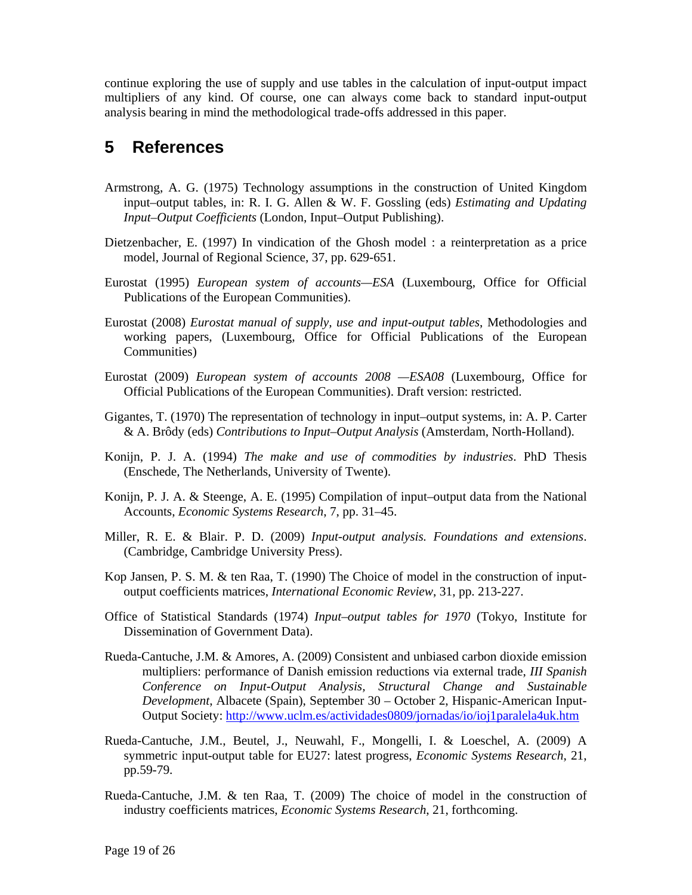continue exploring the use of supply and use tables in the calculation of input-output impact multipliers of any kind. Of course, one can always come back to standard input-output analysis bearing in mind the methodological trade-offs addressed in this paper.

# **5 References**

- Armstrong, A. G. (1975) Technology assumptions in the construction of United Kingdom input–output tables, in: R. I. G. Allen & W. F. Gossling (eds) *Estimating and Updating Input–Output Coefficients* (London, Input–Output Publishing).
- Dietzenbacher, E. (1997) In vindication of the Ghosh model : a reinterpretation as a price model, Journal of Regional Science, 37, pp. 629-651.
- Eurostat (1995) *European system of accounts—ESA* (Luxembourg, Office for Official Publications of the European Communities).
- Eurostat (2008) *Eurostat manual of supply, use and input-output tables*, Methodologies and working papers, (Luxembourg, Office for Official Publications of the European Communities)
- Eurostat (2009) *European system of accounts 2008 —ESA08* (Luxembourg, Office for Official Publications of the European Communities). Draft version: restricted.
- Gigantes, T. (1970) The representation of technology in input–output systems, in: A. P. Carter & A. Brôdy (eds) *Contributions to Input–Output Analysis* (Amsterdam, North-Holland).
- Konijn, P. J. A. (1994) *The make and use of commodities by industries*. PhD Thesis (Enschede, The Netherlands, University of Twente).
- Konijn, P. J. A. & Steenge, A. E. (1995) Compilation of input–output data from the National Accounts, *Economic Systems Research*, 7, pp. 31–45.
- Miller, R. E. & Blair. P. D. (2009) *Input-output analysis. Foundations and extensions*. (Cambridge, Cambridge University Press).
- Kop Jansen, P. S. M. & ten Raa, T. (1990) The Choice of model in the construction of inputoutput coefficients matrices, *International Economic Review*, 31, pp. 213-227.
- Office of Statistical Standards (1974) *Input–output tables for 1970* (Tokyo, Institute for Dissemination of Government Data).
- Rueda-Cantuche, J.M. & Amores, A. (2009) Consistent and unbiased carbon dioxide emission multipliers: performance of Danish emission reductions via external trade, *III Spanish Conference on Input-Output Analysis, Structural Change and Sustainable Development*, Albacete (Spain), September 30 – October 2, Hispanic-American Input-Output Society: http://www.uclm.es/actividades0809/jornadas/io/ioj1paralela4uk.htm
- Rueda-Cantuche, J.M., Beutel, J., Neuwahl, F., Mongelli, I. & Loeschel, A. (2009) A symmetric input-output table for EU27: latest progress, *Economic Systems Research*, 21, pp.59-79.
- Rueda-Cantuche, J.M. & ten Raa, T. (2009) The choice of model in the construction of industry coefficients matrices, *Economic Systems Research*, 21, forthcoming.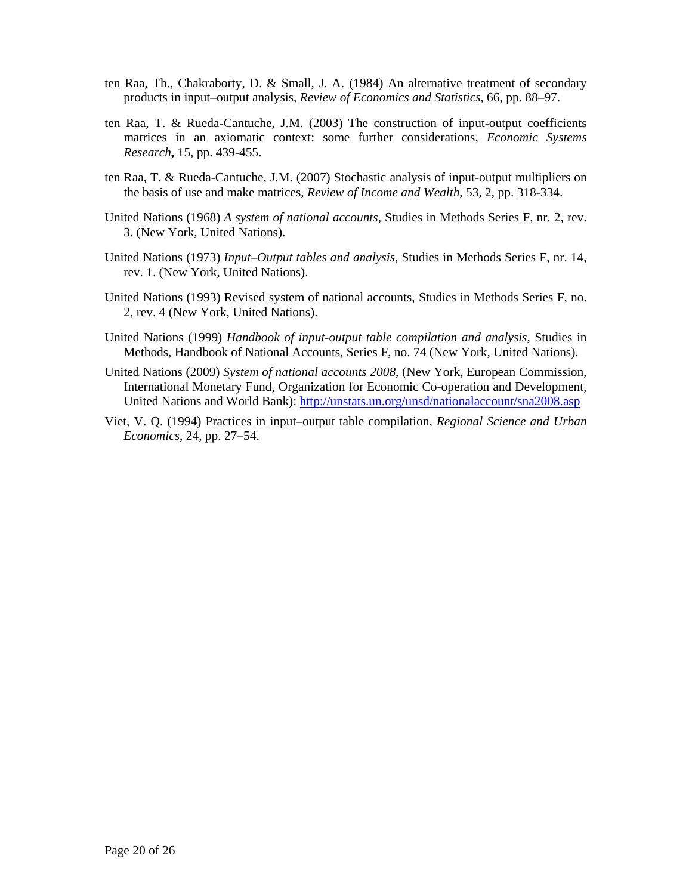- ten Raa, Th., Chakraborty, D. & Small, J. A. (1984) An alternative treatment of secondary products in input–output analysis, *Review of Economics and Statistics*, 66, pp. 88–97.
- ten Raa, T. & Rueda-Cantuche, J.M. (2003) The construction of input-output coefficients matrices in an axiomatic context: some further considerations, *Economic Systems Research***,** 15, pp. 439-455.
- ten Raa, T. & Rueda-Cantuche, J.M. (2007) Stochastic analysis of input-output multipliers on the basis of use and make matrices, *Review of Income and Wealth*, 53, 2, pp. 318-334.
- United Nations (1968) *A system of national accounts*, Studies in Methods Series F, nr. 2, rev. 3. (New York, United Nations).
- United Nations (1973) *Input–Output tables and analysis*, Studies in Methods Series F, nr. 14, rev. 1. (New York, United Nations).
- United Nations (1993) Revised system of national accounts, Studies in Methods Series F, no. 2, rev. 4 (New York, United Nations).
- United Nations (1999) *Handbook of input-output table compilation and analysis*, Studies in Methods, Handbook of National Accounts, Series F, no. 74 (New York, United Nations).
- United Nations (2009) *System of national accounts 2008*, (New York, European Commission, International Monetary Fund, Organization for Economic Co-operation and Development, United Nations and World Bank): http://unstats.un.org/unsd/nationalaccount/sna2008.asp
- Viet, V. Q. (1994) Practices in input–output table compilation, *Regional Science and Urban Economics*, 24, pp. 27–54.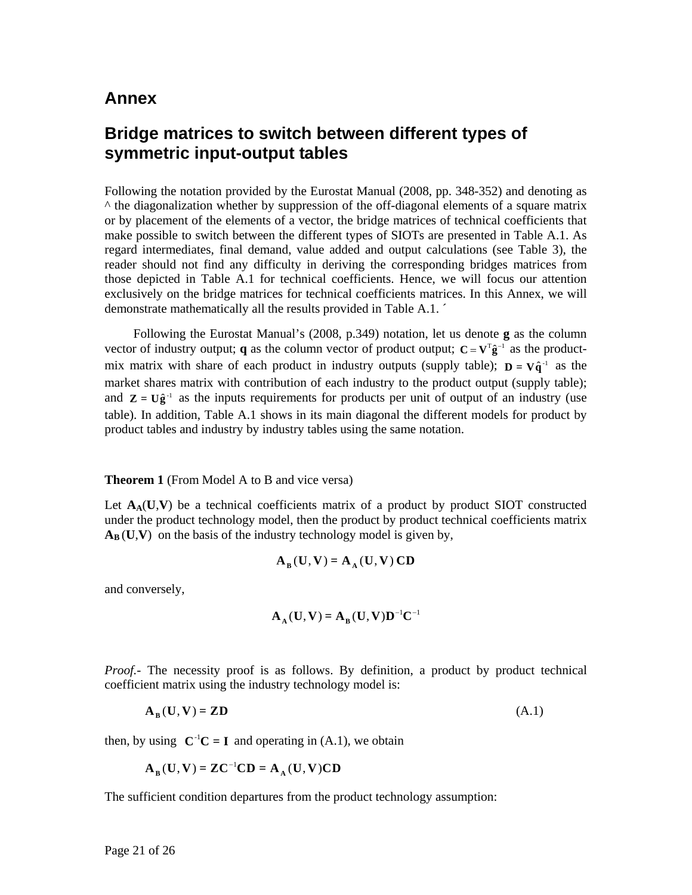### **Annex**

### **Bridge matrices to switch between different types of symmetric input-output tables**

Following the notation provided by the Eurostat Manual (2008, pp. 348-352) and denoting as ^ the diagonalization whether by suppression of the off-diagonal elements of a square matrix or by placement of the elements of a vector, the bridge matrices of technical coefficients that make possible to switch between the different types of SIOTs are presented in Table A.1. As regard intermediates, final demand, value added and output calculations (see Table 3), the reader should not find any difficulty in deriving the corresponding bridges matrices from those depicted in Table A.1 for technical coefficients. Hence, we will focus our attention exclusively on the bridge matrices for technical coefficients matrices. In this Annex, we will demonstrate mathematically all the results provided in Table A.1. ´

 Following the Eurostat Manual's (2008, p.349) notation, let us denote **g** as the column vector of industry output; **q** as the column vector of product output;  $C = V^T \hat{g}^{-1}$  as the productmix matrix with share of each product in industry outputs (supply table);  $D = V\hat{q}^{-1}$  as the market shares matrix with contribution of each industry to the product output (supply table); and  $\mathbf{Z} = \mathbf{U}\hat{\mathbf{g}}^{-1}$  as the inputs requirements for products per unit of output of an industry (use table). In addition, Table A.1 shows in its main diagonal the different models for product by product tables and industry by industry tables using the same notation.

#### **Theorem 1** (From Model A to B and vice versa)

Let  $A_A(U, V)$  be a technical coefficients matrix of a product by product SIOT constructed under the product technology model, then the product by product technical coefficients matrix  $A_B(U,V)$  on the basis of the industry technology model is given by,

$$
\mathbf{A}_{\mathbf{B}}(\mathbf{U},\mathbf{V})=\mathbf{A}_{\mathbf{A}}(\mathbf{U},\mathbf{V})\,\mathbf{C}\mathbf{D}
$$

and conversely,

$$
\mathbf{A}_{\mathbf{A}}(\mathbf{U}, \mathbf{V}) = \mathbf{A}_{\mathbf{B}}(\mathbf{U}, \mathbf{V}) \mathbf{D}^{-1} \mathbf{C}^{-1}
$$

*Proof.*- The necessity proof is as follows. By definition, a product by product technical coefficient matrix using the industry technology model is:

$$
\mathbf{A}_{\mathbf{B}}(\mathbf{U}, \mathbf{V}) = \mathbf{ZD} \tag{A.1}
$$

then, by using  $C^{-1}C = I$  and operating in (A.1), we obtain

$$
\mathbf{A}_{\mathbf{B}}(\mathbf{U}, \mathbf{V}) = \mathbf{Z}\mathbf{C}^{-1}\mathbf{C}\mathbf{D} = \mathbf{A}_{\mathbf{A}}(\mathbf{U}, \mathbf{V})\mathbf{C}\mathbf{D}
$$

The sufficient condition departures from the product technology assumption: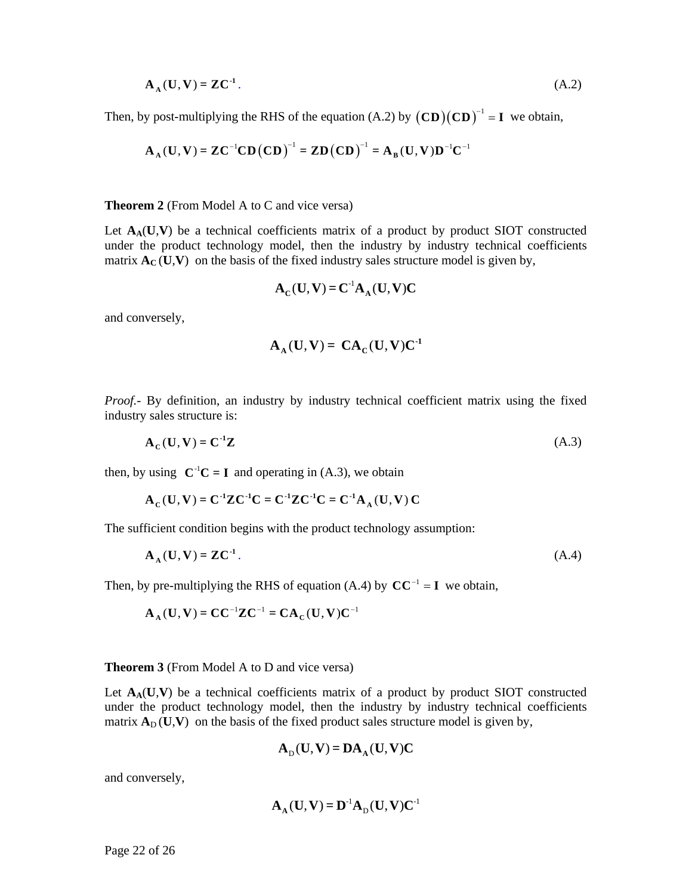$$
\mathbf{A}_{\mathbf{A}}(\mathbf{U}, \mathbf{V}) = \mathbf{Z}\mathbf{C}^{-1}.\tag{A.2}
$$

Then, by post-multiplying the RHS of the equation  $(A.2)$  by  $(CD)(CD)^{-1} = I$  we obtain,

$$
A_A(U, V) = ZC^{-1}CD(CD)^{-1} = ZD(CD)^{-1} = A_B(U, V)D^{-1}C^{-1}
$$

**Theorem 2** (From Model A to C and vice versa)

Let  $A_A(U,V)$  be a technical coefficients matrix of a product by product SIOT constructed under the product technology model, then the industry by industry technical coefficients matrix  $\mathbf{A}_{\mathbf{C}}(\mathbf{U},\mathbf{V})$  on the basis of the fixed industry sales structure model is given by,

$$
\mathbf{A}_{\mathbf{C}}(\mathbf{U}, \mathbf{V}) = \mathbf{C}^{-1} \mathbf{A}_{\mathbf{A}}(\mathbf{U}, \mathbf{V}) \mathbf{C}
$$

and conversely,

$$
A_A(U, V) = CA_C(U, V)C^{-1}
$$

*Proof.*- By definition, an industry by industry technical coefficient matrix using the fixed industry sales structure is:

$$
\mathbf{A}_{\mathbf{C}}(\mathbf{U}, \mathbf{V}) = \mathbf{C}^{-1} \mathbf{Z} \tag{A.3}
$$

then, by using  $C^{-1}C = I$  and operating in (A.3), we obtain

$$
A_C(U, V) = C^{-1}ZC^{-1}C = C^{-1}ZC^{-1}C = C^{-1}A_A(U, V)C
$$

The sufficient condition begins with the product technology assumption:

$$
\mathbf{A}_{\mathbf{A}}(\mathbf{U}, \mathbf{V}) = \mathbf{Z}\mathbf{C}^{-1}.\tag{A.4}
$$

Then, by pre-multiplying the RHS of equation (A.4) by  $CC^{-1} = I$  we obtain,

$$
\mathbf{A}_{\scriptscriptstyle\mathbf{A}}(\mathbf{U},\mathbf{V})=\mathbf{C}\mathbf{C}^{-1}\mathbf{Z}\mathbf{C}^{-1}=\mathbf{C}\mathbf{A}_{\scriptscriptstyle\mathbf{C}}(\mathbf{U},\mathbf{V})\mathbf{C}^{-1}
$$

#### **Theorem 3** (From Model A to D and vice versa)

Let  $A_A(U, V)$  be a technical coefficients matrix of a product by product SIOT constructed under the product technology model, then the industry by industry technical coefficients matrix  $\mathbf{A}_D(\mathbf{U},\mathbf{V})$  on the basis of the fixed product sales structure model is given by,

$$
A_D(U, V) = DA_A(U, V)C
$$

and conversely,

$$
\mathbf{A}_{\mathbf{A}}(\mathbf{U}, \mathbf{V}) = \mathbf{D}^{\text{-1}} \mathbf{A}_{\mathbf{D}}(\mathbf{U}, \mathbf{V}) \mathbf{C}^{\text{-1}}
$$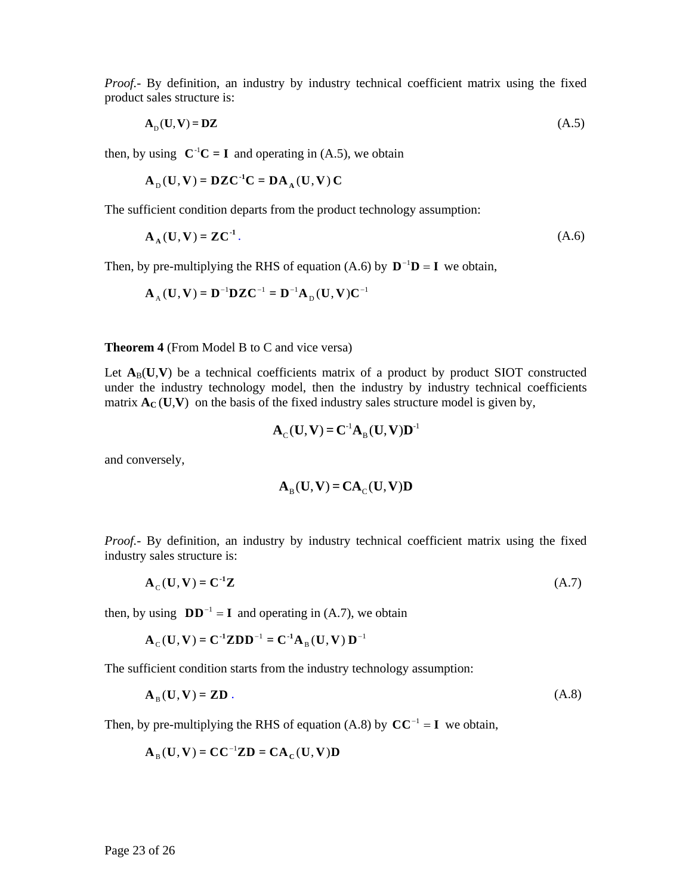*Proof.-* By definition, an industry by industry technical coefficient matrix using the fixed product sales structure is:

$$
\mathbf{A}_{\mathrm{D}}(\mathbf{U}, \mathbf{V}) = \mathbf{D}\mathbf{Z} \tag{A.5}
$$

then, by using  $C^{-1}C = I$  and operating in (A.5), we obtain

$$
\mathbf{A}_{\mathrm{D}}(\mathbf{U}, \mathbf{V}) = \mathbf{D}\mathbf{Z}\mathbf{C}^{-1}\mathbf{C} = \mathbf{D}\mathbf{A}_{\mathrm{A}}(\mathbf{U}, \mathbf{V})\mathbf{C}
$$

The sufficient condition departs from the product technology assumption:

$$
\mathbf{A}_{\mathbf{A}}(\mathbf{U}, \mathbf{V}) = \mathbf{Z}\mathbf{C}^{-1}.\tag{A.6}
$$

Then, by pre-multiplying the RHS of equation (A.6) by  $D^{-1}D = I$  we obtain,

$$
\mathbf{A}_{\mathrm{A}}(\mathbf{U}, \mathbf{V}) = \mathbf{D}^{-1} \mathbf{D} \mathbf{Z} \mathbf{C}^{-1} = \mathbf{D}^{-1} \mathbf{A}_{\mathrm{D}}(\mathbf{U}, \mathbf{V}) \mathbf{C}^{-1}
$$

**Theorem 4** (From Model B to C and vice versa)

Let  $A_B(U, V)$  be a technical coefficients matrix of a product by product SIOT constructed under the industry technology model, then the industry by industry technical coefficients matrix  $\mathbf{A}_{\mathbf{C}}(\mathbf{U},\mathbf{V})$  on the basis of the fixed industry sales structure model is given by,

$$
\mathbf{A}_{\mathrm{C}}(\mathbf{U},\mathbf{V})=\mathbf{C}^{\mathrm{-1}}\mathbf{A}_{\mathrm{B}}(\mathbf{U},\mathbf{V})\mathbf{D}^{\mathrm{-1}}
$$

and conversely,

$$
\mathbf{A}_{\mathrm{B}}(\mathbf{U},\mathbf{V})=\mathbf{C}\mathbf{A}_{\mathrm{C}}(\mathbf{U},\mathbf{V})\mathbf{D}
$$

*Proof.*- By definition, an industry by industry technical coefficient matrix using the fixed industry sales structure is:

$$
\mathbf{A}_{\mathcal{C}}(\mathbf{U}, \mathbf{V}) = \mathbf{C}^{-1} \mathbf{Z} \tag{A.7}
$$

then, by using  $DD^{-1} = I$  and operating in (A.7), we obtain

$$
A_C(U, V) = C^{-1}ZDD^{-1} = C^{-1}A_B(U, V) D^{-1}
$$

The sufficient condition starts from the industry technology assumption:

$$
\mathbf{A}_{\mathrm{B}}(\mathbf{U}, \mathbf{V}) = \mathbf{ZD} \tag{A.8}
$$

Then, by pre-multiplying the RHS of equation (A.8) by  $CC^{-1} = I$  we obtain,

$$
\mathbf{A}_{\mathrm{B}}(\mathbf{U},\mathbf{V})=\mathbf{C}\mathbf{C}^{-1}\mathbf{Z}\mathbf{D}=\mathbf{C}\mathbf{A}_{\mathrm{C}}(\mathbf{U},\mathbf{V})\mathbf{D}
$$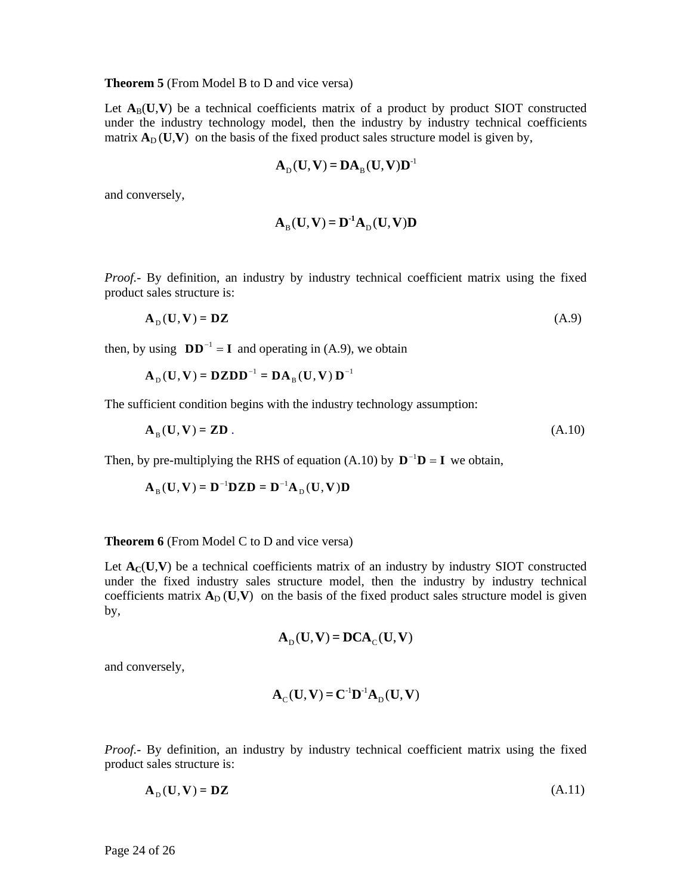#### **Theorem 5** (From Model B to D and vice versa)

Let  $A_B(U, V)$  be a technical coefficients matrix of a product by product SIOT constructed under the industry technology model, then the industry by industry technical coefficients matrix  $\mathbf{A}_D(\mathbf{U},\mathbf{V})$  on the basis of the fixed product sales structure model is given by,

$$
\mathbf{A}_{\mathrm{D}}(\mathbf{U}, \mathbf{V}) = \mathbf{D}\mathbf{A}_{\mathrm{B}}(\mathbf{U}, \mathbf{V})\mathbf{D}^{-1}
$$

and conversely,

$$
\mathbf{A}_{\mathrm{B}}(\mathbf{U},\mathbf{V})=\mathbf{D}^{\mathrm{-1}}\mathbf{A}_{\mathrm{D}}(\mathbf{U},\mathbf{V})\mathbf{D}
$$

*Proof.*- By definition, an industry by industry technical coefficient matrix using the fixed product sales structure is:

$$
\mathbf{A}_{\mathrm{D}}(\mathbf{U}, \mathbf{V}) = \mathbf{D}\mathbf{Z} \tag{A.9}
$$

then, by using  $DD^{-1} = I$  and operating in (A.9), we obtain

$$
\mathbf{A}_{\mathrm{D}}(\mathbf{U}, \mathbf{V}) = \mathbf{D} \mathbf{Z} \mathbf{D} \mathbf{D}^{-1} = \mathbf{D} \mathbf{A}_{\mathrm{B}}(\mathbf{U}, \mathbf{V}) \mathbf{D}^{-1}
$$

The sufficient condition begins with the industry technology assumption:

$$
\mathbf{A}_{\mathrm{B}}(\mathbf{U}, \mathbf{V}) = \mathbf{ZD} \tag{A.10}
$$

Then, by pre-multiplying the RHS of equation (A.10) by  $D^{-1}D = I$  we obtain,

$$
\mathbf{A}_{\mathrm{B}}(\mathbf{U}, \mathbf{V}) = \mathbf{D}^{-1} \mathbf{D} \mathbf{Z} \mathbf{D} = \mathbf{D}^{-1} \mathbf{A}_{\mathrm{D}}(\mathbf{U}, \mathbf{V}) \mathbf{D}
$$

#### **Theorem 6** (From Model C to D and vice versa)

Let  $A_C(U, V)$  be a technical coefficients matrix of an industry by industry SIOT constructed under the fixed industry sales structure model, then the industry by industry technical coefficients matrix  $A_D(U, V)$  on the basis of the fixed product sales structure model is given by,

$$
A_D(U, V) = DCA_C(U, V)
$$

and conversely,

$$
\mathbf{A}_{\mathrm{C}}(\mathbf{U},\mathbf{V})=\mathbf{C}^{\mathrm{-1}}\mathbf{D}^{\mathrm{-1}}\mathbf{A}_{\mathrm{D}}(\mathbf{U},\mathbf{V})
$$

*Proof.-* By definition, an industry by industry technical coefficient matrix using the fixed product sales structure is:

$$
\mathbf{A}_{\mathrm{D}}(\mathbf{U}, \mathbf{V}) = \mathbf{D}\mathbf{Z} \tag{A.11}
$$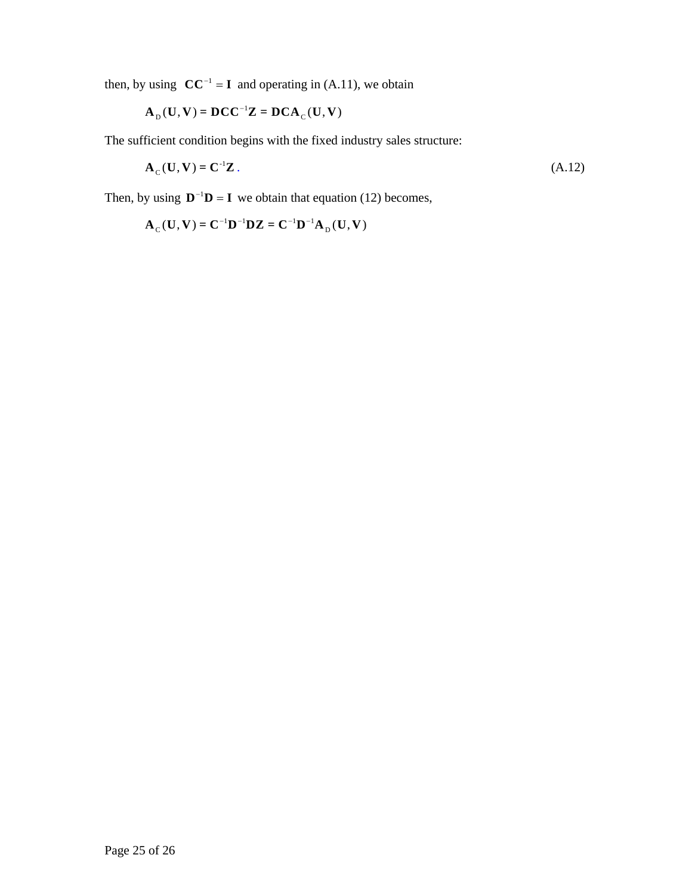then, by using  $CC^{-1} = I$  and operating in (A.11), we obtain

$$
\mathbf{A}_{\mathrm{D}}(\mathbf{U},\mathbf{V})=\mathbf{D}\mathbf{C}\mathbf{C}^{-1}\mathbf{Z}=\mathbf{D}\mathbf{C}\mathbf{A}_{\mathrm{C}}(\mathbf{U},\mathbf{V})
$$

The sufficient condition begins with the fixed industry sales structure:

$$
\mathbf{A}_{\mathcal{C}}(\mathbf{U}, \mathbf{V}) = \mathbf{C}^{-1}\mathbf{Z} \,. \tag{A.12}
$$

Then, by using  $\mathbf{D}^{-1}\mathbf{D} = \mathbf{I}$  we obtain that equation (12) becomes,

 $A_C(U, V) = C^{-1}D^{-1}DZ = C^{-1}D^{-1}A_D(U, V)$